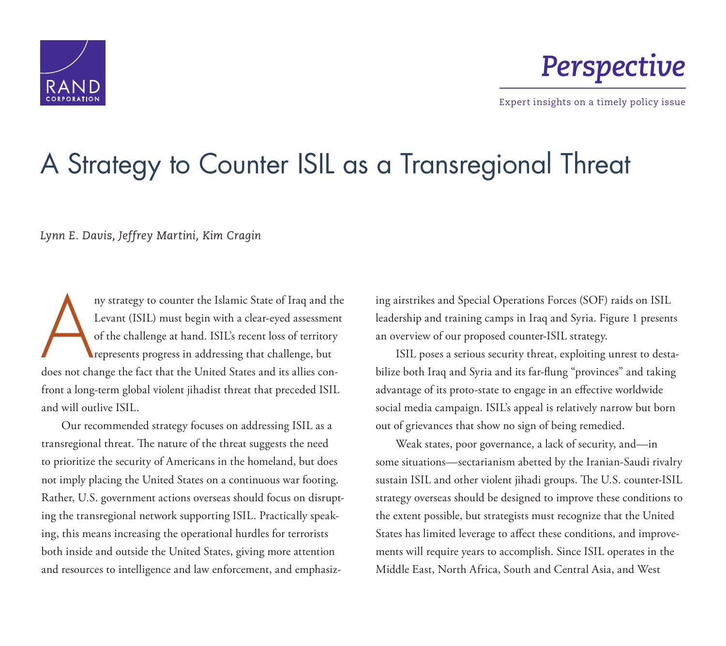

*Perspective*

Expert insights on a timely policy issue

# [A Strategy to Counter ISIL as a Transregional Threat](http://www.rand.org/pubs/perspectives/PE228.html)

*Lynn E. Davis, Jeffrey Martini, Kim Cragin*

ny strategy to counter the Islamic State of Iraq and the Levant (ISIL) must begin with a clear-eyed assessment of the challenge at hand. ISIL's recent loss of territory represents progress in addressing that challenge, but ny strategy to counter the Islamic State of Iraq and the Levant (ISIL) must begin with a clear-eyed assessment of the challenge at hand. ISIL's recent loss of territory represents progress in addressing that challenge, but front a long-term global violent jihadist threat that preceded ISIL and will outlive ISIL.

Our recommended strategy focuses on addressing ISIL as a transregional threat. The nature of the threat suggests the need to prioritize the security of Americans in the homeland, but does not imply placing the United States on a continuous war footing. Rather, U.S. government actions overseas should focus on disrupting the transregional network supporting ISIL. Practically speaking, this means increasing the operational hurdles for terrorists both inside and outside the United States, giving more attention and resources to intelligence and law enforcement, and emphasizing airstrikes and Special Operations Forces (SOF) raids on ISIL leadership and training camps in Iraq and Syria. Figure 1 presents an overview of our proposed counter-ISIL strategy.

ISIL poses a serious security threat, exploiting unrest to destabilize both Iraq and Syria and its far-flung "provinces" and taking advantage of its proto-state to engage in an effective worldwide social media campaign. ISIL's appeal is relatively narrow but born out of grievances that show no sign of being remedied.

Weak states, poor governance, a lack of security, and—in some situations—sectarianism abetted by the Iranian-Saudi rivalry sustain ISIL and other violent jihadi groups. The U.S. counter-ISIL strategy overseas should be designed to improve these conditions to the extent possible, but strategists must recognize that the United States has limited leverage to affect these conditions, and improvements will require years to accomplish. Since ISIL operates in the Middle East, North Africa, South and Central Asia, and West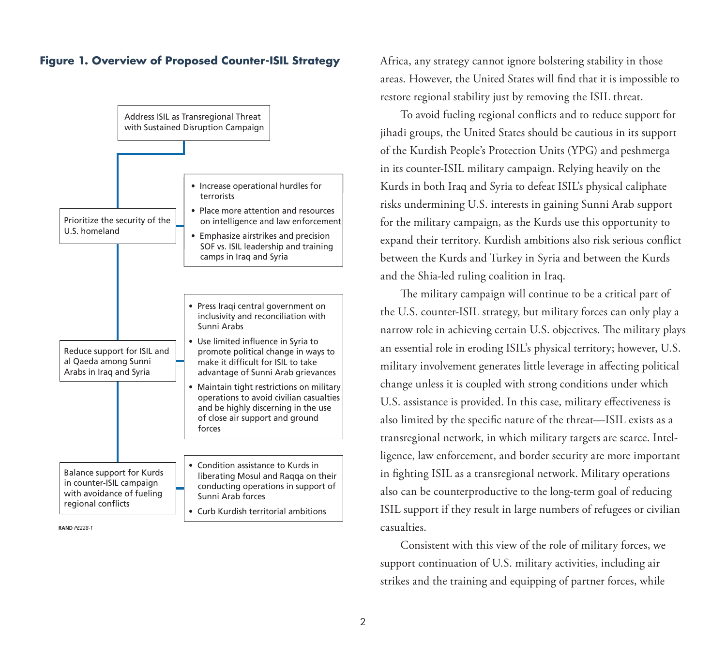### **Figure 1. Overview of Proposed Counter-ISIL Strategy**



**RAND** *PE228-1*

Africa, any strategy cannot ignore bolstering stability in those areas. However, the United States will find that it is impossible to restore regional stability just by removing the ISIL threat.

To avoid fueling regional conflicts and to reduce support for jihadi groups, the United States should be cautious in its support of the Kurdish People's Protection Units (YPG) and peshmerga in its counter-ISIL military campaign. Relying heavily on the Kurds in both Iraq and Syria to defeat ISIL's physical caliphate risks undermining U.S. interests in gaining Sunni Arab support for the military campaign, as the Kurds use this opportunity to expand their territory. Kurdish ambitions also risk serious conflict between the Kurds and Turkey in Syria and between the Kurds and the Shia-led ruling coalition in Iraq.

The military campaign will continue to be a critical part of the U.S. counter-ISIL strategy, but military forces can only play a narrow role in achieving certain U.S. objectives. The military plays an essential role in eroding ISIL's physical territory; however, U.S. military involvement generates little leverage in affecting political change unless it is coupled with strong conditions under which U.S. assistance is provided. In this case, military effectiveness is also limited by the specific nature of the threat—ISIL exists as a transregional network, in which military targets are scarce. Intelligence, law enforcement, and border security are more important in fighting ISIL as a transregional network. Military operations also can be counterproductive to the long-term goal of reducing ISIL support if they result in large numbers of refugees or civilian casualties.

Consistent with this view of the role of military forces, we support continuation of U.S. military activities, including air strikes and the training and equipping of partner forces, while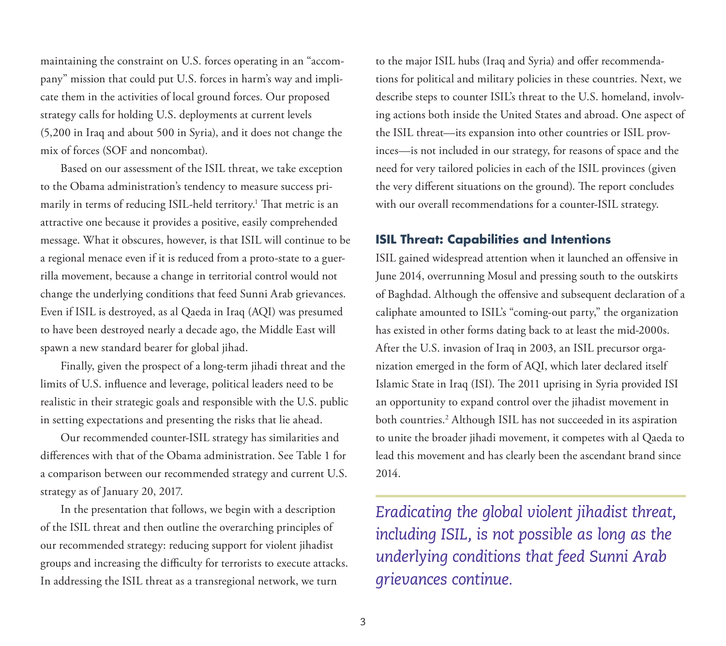maintaining the constraint on U.S. forces operating in an "accompany" mission that could put U.S. forces in harm's way and implicate them in the activities of local ground forces. Our proposed strategy calls for holding U.S. deployments at current levels (5,200 in Iraq and about 500 in Syria), and it does not change the mix of forces (SOF and noncombat).

Based on our assessment of the ISIL threat, we take exception to the Obama administration's tendency to measure success primarily in terms of reducing ISIL-held territory.<sup>1</sup> That metric is an attractive one because it provides a positive, easily comprehended message. What it obscures, however, is that ISIL will continue to be a regional menace even if it is reduced from a proto-state to a guerrilla movement, because a change in territorial control would not change the underlying conditions that feed Sunni Arab grievances. Even if ISIL is destroyed, as al Qaeda in Iraq (AQI) was presumed to have been destroyed nearly a decade ago, the Middle East will spawn a new standard bearer for global jihad.

Finally, given the prospect of a long-term jihadi threat and the limits of U.S. influence and leverage, political leaders need to be realistic in their strategic goals and responsible with the U.S. public in setting expectations and presenting the risks that lie ahead.

Our recommended counter-ISIL strategy has similarities and differences with that of the Obama administration. See Table 1 for a comparison between our recommended strategy and current U.S. strategy as of January 20, 2017.

In the presentation that follows, we begin with a description of the ISIL threat and then outline the overarching principles of our recommended strategy: reducing support for violent jihadist groups and increasing the difficulty for terrorists to execute attacks. In addressing the ISIL threat as a transregional network, we turn

to the major ISIL hubs (Iraq and Syria) and offer recommendations for political and military policies in these countries. Next, we describe steps to counter ISIL's threat to the U.S. homeland, involving actions both inside the United States and abroad. One aspect of the ISIL threat—its expansion into other countries or ISIL provinces—is not included in our strategy, for reasons of space and the need for very tailored policies in each of the ISIL provinces (given the very different situations on the ground). The report concludes with our overall recommendations for a counter-ISIL strategy.

## **ISIL Threat: Capabilities and Intentions**

ISIL gained widespread attention when it launched an offensive in June 2014, overrunning Mosul and pressing south to the outskirts of Baghdad. Although the offensive and subsequent declaration of a caliphate amounted to ISIL's "coming-out party," the organization has existed in other forms dating back to at least the mid-2000s. After the U.S. invasion of Iraq in 2003, an ISIL precursor organization emerged in the form of AQI, which later declared itself Islamic State in Iraq (ISI). The 2011 uprising in Syria provided ISI an opportunity to expand control over the jihadist movement in both countries.2 Although ISIL has not succeeded in its aspiration to unite the broader jihadi movement, it competes with al Qaeda to lead this movement and has clearly been the ascendant brand since 2014.

*Eradicating the global violent jihadist threat, including ISIL, is not possible as long as the underlying conditions that feed Sunni Arab grievances continue.*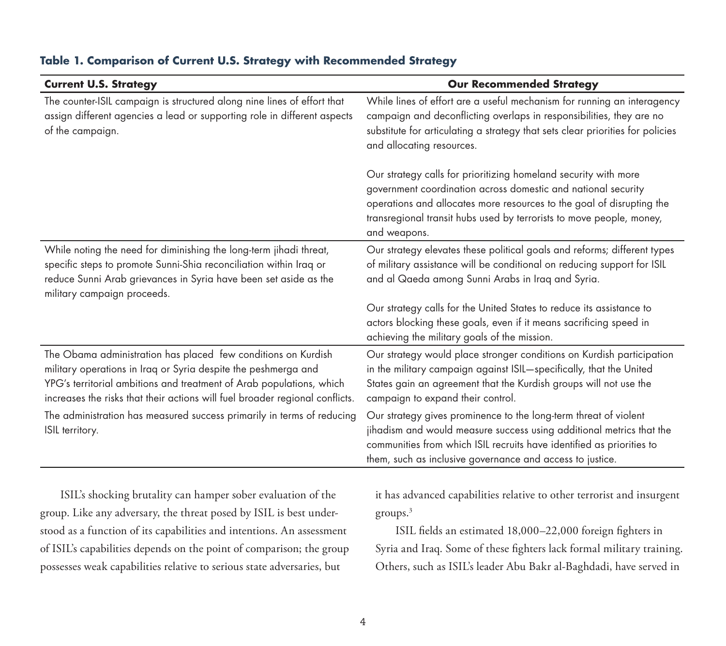| <b>Current U.S. Strategy</b>                                                                                                                                                                                                                                                                     | <b>Our Recommended Strategy</b>                                                                                                                                                                                                                                                                   |  |
|--------------------------------------------------------------------------------------------------------------------------------------------------------------------------------------------------------------------------------------------------------------------------------------------------|---------------------------------------------------------------------------------------------------------------------------------------------------------------------------------------------------------------------------------------------------------------------------------------------------|--|
| The counter-ISIL campaign is structured along nine lines of effort that<br>assign different agencies a lead or supporting role in different aspects<br>of the campaign.                                                                                                                          | While lines of effort are a useful mechanism for running an interagency<br>campaign and deconflicting overlaps in responsibilities, they are no<br>substitute for articulating a strategy that sets clear priorities for policies<br>and allocating resources.                                    |  |
|                                                                                                                                                                                                                                                                                                  | Our strategy calls for prioritizing homeland security with more<br>government coordination across domestic and national security<br>operations and allocates more resources to the goal of disrupting the<br>transregional transit hubs used by terrorists to move people, money,<br>and weapons. |  |
| While noting the need for diminishing the long-term jihadi threat,<br>specific steps to promote Sunni-Shia reconciliation within Iraq or<br>reduce Sunni Arab grievances in Syria have been set aside as the<br>military campaign proceeds.                                                      | Our strategy elevates these political goals and reforms; different types<br>of military assistance will be conditional on reducing support for ISIL<br>and al Qaeda among Sunni Arabs in Iraq and Syria.                                                                                          |  |
|                                                                                                                                                                                                                                                                                                  | Our strategy calls for the United States to reduce its assistance to<br>actors blocking these goals, even if it means sacrificing speed in<br>achieving the military goals of the mission.                                                                                                        |  |
| The Obama administration has placed few conditions on Kurdish<br>military operations in Iraq or Syria despite the peshmerga and<br>YPG's territorial ambitions and treatment of Arab populations, which<br>increases the risks that their actions will fuel broader regional conflicts.          | Our strategy would place stronger conditions on Kurdish participation<br>in the military campaign against ISIL-specifically, that the United<br>States gain an agreement that the Kurdish groups will not use the<br>campaign to expand their control.                                            |  |
| The administration has measured success primarily in terms of reducing<br>ISIL territory.                                                                                                                                                                                                        | Our strategy gives prominence to the long-term threat of violent<br>jihadism and would measure success using additional metrics that the<br>communities from which ISIL recruits have identified as priorities to<br>them, such as inclusive governance and access to justice.                    |  |
| ISIL's shocking brutality can hamper sober evaluation of the<br>group. Like any adversary, the threat posed by ISIL is best under-<br>$\mathcal{C}$ and $\mathcal{C}$ are the set of $\mathcal{C}$ and $\mathcal{C}$ are the set of $\mathcal{C}$ and $\mathcal{C}$ are the set of $\mathcal{C}$ | it has advanced capabilities relative to other terrorist and insurgent<br>groups. $3$<br>$TCTL C 11$ : $110,000,000,000$ : $C1$ :                                                                                                                                                                 |  |

## **Table 1. Comparison of Current U.S. Strategy with Recommended Strategy**

stood as a function of its capabilities and intentions. An assessment of ISIL's capabilities depends on the point of comparison; the group possesses weak capabilities relative to serious state adversaries, but

ISIL fields an estimated 18,000–22,000 foreign fighters in Syria and Iraq. Some of these fighters lack formal military training. Others, such as ISIL's leader Abu Bakr al-Baghdadi, have served in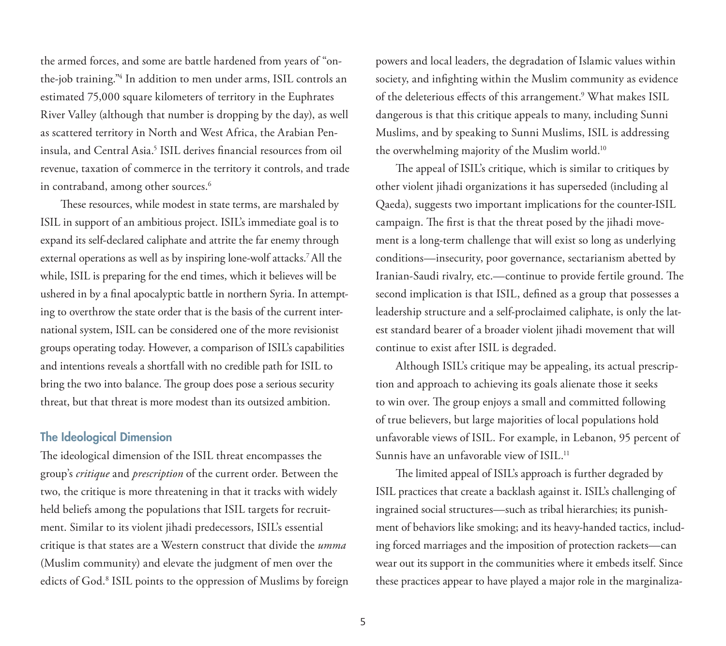the armed forces, and some are battle hardened from years of "onthe-job training."4 In addition to men under arms, ISIL controls an estimated 75,000 square kilometers of territory in the Euphrates River Valley (although that number is dropping by the day), as well as scattered territory in North and West Africa, the Arabian Peninsula, and Central Asia.5 ISIL derives financial resources from oil revenue, taxation of commerce in the territory it controls, and trade in contraband, among other sources.<sup>6</sup>

These resources, while modest in state terms, are marshaled by ISIL in support of an ambitious project. ISIL's immediate goal is to expand its self-declared caliphate and attrite the far enemy through external operations as well as by inspiring lone-wolf attacks.7 All the while, ISIL is preparing for the end times, which it believes will be ushered in by a final apocalyptic battle in northern Syria. In attempting to overthrow the state order that is the basis of the current international system, ISIL can be considered one of the more revisionist groups operating today. However, a comparison of ISIL's capabilities and intentions reveals a shortfall with no credible path for ISIL to bring the two into balance. The group does pose a serious security threat, but that threat is more modest than its outsized ambition.

## The Ideological Dimension

The ideological dimension of the ISIL threat encompasses the group's *critique* and *prescription* of the current order. Between the two, the critique is more threatening in that it tracks with widely held beliefs among the populations that ISIL targets for recruitment. Similar to its violent jihadi predecessors, ISIL's essential critique is that states are a Western construct that divide the *umma* (Muslim community) and elevate the judgment of men over the edicts of God.<sup>8</sup> ISIL points to the oppression of Muslims by foreign powers and local leaders, the degradation of Islamic values within society, and infighting within the Muslim community as evidence of the deleterious effects of this arrangement.<sup>9</sup> What makes ISIL dangerous is that this critique appeals to many, including Sunni Muslims, and by speaking to Sunni Muslims, ISIL is addressing the overwhelming majority of the Muslim world.<sup>10</sup>

The appeal of ISIL's critique, which is similar to critiques by other violent jihadi organizations it has superseded (including al Qaeda), suggests two important implications for the counter-ISIL campaign. The first is that the threat posed by the jihadi movement is a long-term challenge that will exist so long as underlying conditions—insecurity, poor governance, sectarianism abetted by Iranian-Saudi rivalry, etc.—continue to provide fertile ground. The second implication is that ISIL, defined as a group that possesses a leadership structure and a self-proclaimed caliphate, is only the latest standard bearer of a broader violent jihadi movement that will continue to exist after ISIL is degraded.

Although ISIL's critique may be appealing, its actual prescription and approach to achieving its goals alienate those it seeks to win over. The group enjoys a small and committed following of true believers, but large majorities of local populations hold unfavorable views of ISIL. For example, in Lebanon, 95 percent of Sunnis have an unfavorable view of ISIL.<sup>11</sup>

The limited appeal of ISIL's approach is further degraded by ISIL practices that create a backlash against it. ISIL's challenging of ingrained social structures—such as tribal hierarchies; its punishment of behaviors like smoking; and its heavy-handed tactics, including forced marriages and the imposition of protection rackets—can wear out its support in the communities where it embeds itself. Since these practices appear to have played a major role in the marginaliza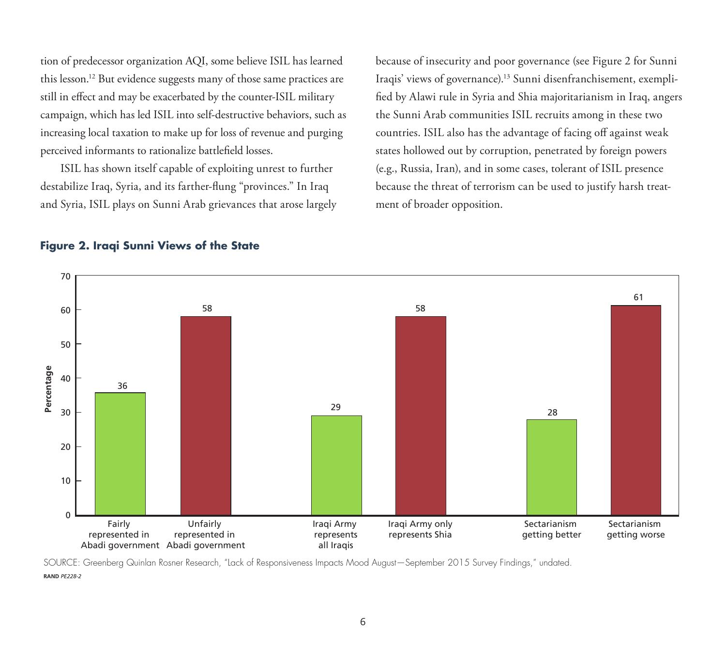tion of predecessor organization AQI, some believe ISIL has learned this lesson.12 But evidence suggests many of those same practices are still in effect and may be exacerbated by the counter-ISIL military campaign, which has led ISIL into self-destructive behaviors, such as increasing local taxation to make up for loss of revenue and purging perceived informants to rationalize battlefield losses.

ISIL has shown itself capable of exploiting unrest to further destabilize Iraq, Syria, and its farther-flung "provinces." In Iraq and Syria, ISIL plays on Sunni Arab grievances that arose largely because of insecurity and poor governance (see Figure 2 for Sunni Iraqis' views of governance).13 Sunni disenfranchisement, exemplified by Alawi rule in Syria and Shia majoritarianism in Iraq, angers the Sunni Arab communities ISIL recruits among in these two countries. ISIL also has the advantage of facing off against weak states hollowed out by corruption, penetrated by foreign powers (e.g., Russia, Iran), and in some cases, tolerant of ISIL presence because the threat of terrorism can be used to justify harsh treatment of broader opposition.

#### **Figure 2. Iraqi Sunni Views of the State**



SOURCE: Greenberg Quinlan Rosner Research, "Lack of Responsiveness Impacts Mood August—September 2015 Survey Findings," undated. **RAND PE228-2**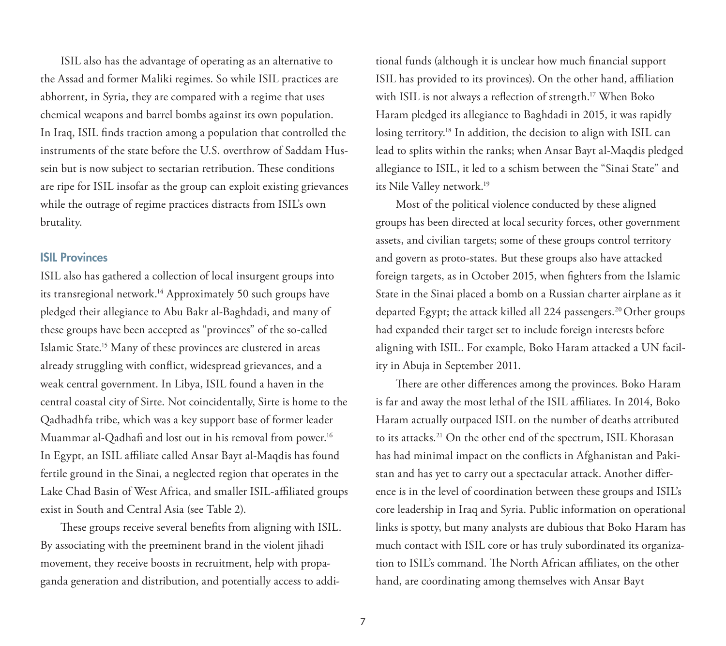ISIL also has the advantage of operating as an alternative to the Assad and former Maliki regimes. So while ISIL practices are abhorrent, in Syria, they are compared with a regime that uses chemical weapons and barrel bombs against its own population. In Iraq, ISIL finds traction among a population that controlled the instruments of the state before the U.S. overthrow of Saddam Hussein but is now subject to sectarian retribution. These conditions are ripe for ISIL insofar as the group can exploit existing grievances while the outrage of regime practices distracts from ISIL's own brutality.

#### ISIL Provinces

ISIL also has gathered a collection of local insurgent groups into its transregional network.<sup>14</sup> Approximately 50 such groups have pledged their allegiance to Abu Bakr al-Baghdadi, and many of these groups have been accepted as "provinces" of the so-called Islamic State.15 Many of these provinces are clustered in areas already struggling with conflict, widespread grievances, and a weak central government. In Libya, ISIL found a haven in the central coastal city of Sirte. Not coincidentally, Sirte is home to the Qadhadhfa tribe, which was a key support base of former leader Muammar al-Qadhafi and lost out in his removal from power.<sup>16</sup> In Egypt, an ISIL affiliate called Ansar Bayt al-Maqdis has found fertile ground in the Sinai, a neglected region that operates in the Lake Chad Basin of West Africa, and smaller ISIL-affiliated groups exist in South and Central Asia (see Table 2).

These groups receive several benefits from aligning with ISIL. By associating with the preeminent brand in the violent jihadi movement, they receive boosts in recruitment, help with propaganda generation and distribution, and potentially access to additional funds (although it is unclear how much financial support ISIL has provided to its provinces). On the other hand, affiliation with ISIL is not always a reflection of strength.<sup>17</sup> When Boko Haram pledged its allegiance to Baghdadi in 2015, it was rapidly losing territory.18 In addition, the decision to align with ISIL can lead to splits within the ranks; when Ansar Bayt al-Maqdis pledged allegiance to ISIL, it led to a schism between the "Sinai State" and its Nile Valley network.19

Most of the political violence conducted by these aligned groups has been directed at local security forces, other government assets, and civilian targets; some of these groups control territory and govern as proto-states. But these groups also have attacked foreign targets, as in October 2015, when fighters from the Islamic State in the Sinai placed a bomb on a Russian charter airplane as it departed Egypt; the attack killed all 224 passengers.<sup>20</sup> Other groups had expanded their target set to include foreign interests before aligning with ISIL. For example, Boko Haram attacked a UN facility in Abuja in September 2011.

There are other differences among the provinces. Boko Haram is far and away the most lethal of the ISIL affiliates. In 2014, Boko Haram actually outpaced ISIL on the number of deaths attributed to its attacks.<sup>21</sup> On the other end of the spectrum, ISIL Khorasan has had minimal impact on the conflicts in Afghanistan and Pakistan and has yet to carry out a spectacular attack. Another difference is in the level of coordination between these groups and ISIL's core leadership in Iraq and Syria. Public information on operational links is spotty, but many analysts are dubious that Boko Haram has much contact with ISIL core or has truly subordinated its organization to ISIL's command. The North African affiliates, on the other hand, are coordinating among themselves with Ansar Bayt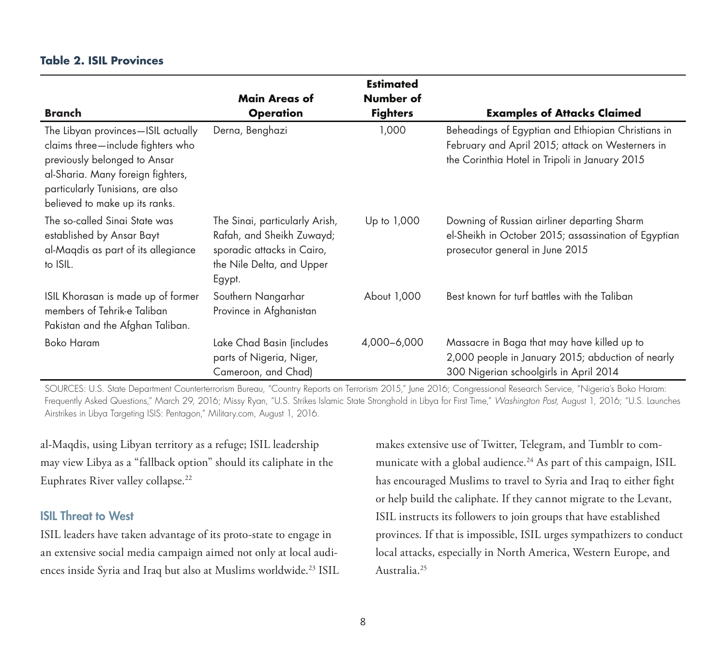#### **Table 2. ISIL Provinces**

| <b>Branch</b>                                                                                                                                                                                                      | <b>Main Areas of</b><br><b>Operation</b>                                                                                         | <b>Estimated</b><br>Number of<br><b>Fighters</b> | <b>Examples of Attacks Claimed</b>                                                                                                                       |
|--------------------------------------------------------------------------------------------------------------------------------------------------------------------------------------------------------------------|----------------------------------------------------------------------------------------------------------------------------------|--------------------------------------------------|----------------------------------------------------------------------------------------------------------------------------------------------------------|
| The Libyan provinces-ISIL actually<br>claims three-include fighters who<br>previously belonged to Ansar<br>al-Sharia. Many foreign fighters,<br>particularly Tunisians, are also<br>believed to make up its ranks. | Derna, Benghazi                                                                                                                  | 1,000                                            | Beheadings of Egyptian and Ethiopian Christians in<br>February and April 2015; attack on Westerners in<br>the Corinthia Hotel in Tripoli in January 2015 |
| The so-called Sinai State was<br>established by Ansar Bayt<br>al-Maqdis as part of its allegiance<br>to ISIL.                                                                                                      | The Sinai, particularly Arish,<br>Rafah, and Sheikh Zuwayd;<br>sporadic attacks in Cairo,<br>the Nile Delta, and Upper<br>Egypt. | Up to 1,000                                      | Downing of Russian airliner departing Sharm<br>el-Sheikh in October 2015; assassination of Egyptian<br>prosecutor general in June 2015                   |
| ISIL Khorasan is made up of former<br>members of Tehrik-e Taliban<br>Pakistan and the Afghan Taliban.                                                                                                              | Southern Nangarhar<br>Province in Afghanistan                                                                                    | About 1,000                                      | Best known for turf battles with the Taliban                                                                                                             |
| <b>Boko Haram</b>                                                                                                                                                                                                  | Lake Chad Basin (includes<br>parts of Nigeria, Niger,<br>Cameroon, and Chad)                                                     | 4,000-6,000                                      | Massacre in Baga that may have killed up to<br>2,000 people in January 2015; abduction of nearly<br>300 Nigerian schoolgirls in April 2014               |

SOURCES: U.S. State Department Counterterrorism Bureau, "Country Reports on Terrorism 2015," June 2016; Congressional Research Service, "Nigeria's Boko Haram: Frequently Asked Questions," March 29, 2016; Missy Ryan, "U.S. Strikes Islamic State Stronghold in Libya for First Time," Washington Post, August 1, 2016; "U.S. Launches Airstrikes in Libya Targeting ISIS: Pentagon," Military.com, August 1, 2016.

al-Maqdis, using Libyan territory as a refuge; ISIL leadership may view Libya as a "fallback option" should its caliphate in the Euphrates River valley collapse.<sup>22</sup>

#### ISIL Threat to West

ISIL leaders have taken advantage of its proto-state to engage in an extensive social media campaign aimed not only at local audiences inside Syria and Iraq but also at Muslims worldwide.<sup>23</sup> ISIL makes extensive use of Twitter, Telegram, and Tumblr to communicate with a global audience.<sup>24</sup> As part of this campaign, ISIL has encouraged Muslims to travel to Syria and Iraq to either fight or help build the caliphate. If they cannot migrate to the Levant, ISIL instructs its followers to join groups that have established provinces. If that is impossible, ISIL urges sympathizers to conduct local attacks, especially in North America, Western Europe, and Australia.25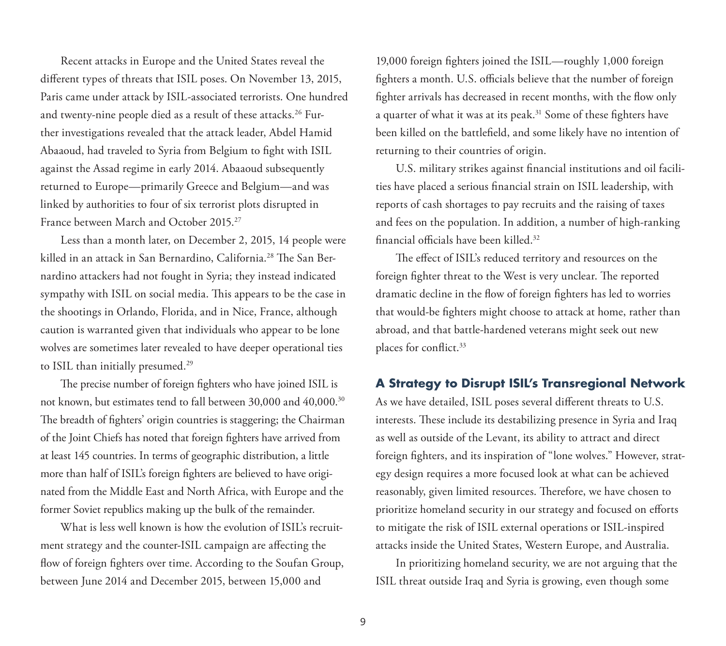Recent attacks in Europe and the United States reveal the different types of threats that ISIL poses. On November 13, 2015, Paris came under attack by ISIL-associated terrorists. One hundred and twenty-nine people died as a result of these attacks.<sup>26</sup> Further investigations revealed that the attack leader, Abdel Hamid Abaaoud, had traveled to Syria from Belgium to fight with ISIL against the Assad regime in early 2014. Abaaoud subsequently returned to Europe—primarily Greece and Belgium—and was linked by authorities to four of six terrorist plots disrupted in France between March and October 2015.<sup>27</sup>

Less than a month later, on December 2, 2015, 14 people were killed in an attack in San Bernardino, California.<sup>28</sup> The San Bernardino attackers had not fought in Syria; they instead indicated sympathy with ISIL on social media. This appears to be the case in the shootings in Orlando, Florida, and in Nice, France, although caution is warranted given that individuals who appear to be lone wolves are sometimes later revealed to have deeper operational ties to ISIL than initially presumed.<sup>29</sup>

The precise number of foreign fighters who have joined ISIL is not known, but estimates tend to fall between 30,000 and 40,000.30 The breadth of fighters' origin countries is staggering; the Chairman of the Joint Chiefs has noted that foreign fighters have arrived from at least 145 countries. In terms of geographic distribution, a little more than half of ISIL's foreign fighters are believed to have originated from the Middle East and North Africa, with Europe and the former Soviet republics making up the bulk of the remainder.

What is less well known is how the evolution of ISIL's recruitment strategy and the counter-ISIL campaign are affecting the flow of foreign fighters over time. According to the Soufan Group, between June 2014 and December 2015, between 15,000 and

19,000 foreign fighters joined the ISIL—roughly 1,000 foreign fighters a month. U.S. officials believe that the number of foreign fighter arrivals has decreased in recent months, with the flow only a quarter of what it was at its peak.<sup>31</sup> Some of these fighters have been killed on the battlefield, and some likely have no intention of returning to their countries of origin.

U.S. military strikes against financial institutions and oil facilities have placed a serious financial strain on ISIL leadership, with reports of cash shortages to pay recruits and the raising of taxes and fees on the population. In addition, a number of high-ranking financial officials have been killed.32

The effect of ISIL's reduced territory and resources on the foreign fighter threat to the West is very unclear. The reported dramatic decline in the flow of foreign fighters has led to worries that would-be fighters might choose to attack at home, rather than abroad, and that battle-hardened veterans might seek out new places for conflict.<sup>33</sup>

## **A Strategy to Disrupt ISIL's Transregional Network**

As we have detailed, ISIL poses several different threats to U.S. interests. These include its destabilizing presence in Syria and Iraq as well as outside of the Levant, its ability to attract and direct foreign fighters, and its inspiration of "lone wolves." However, strategy design requires a more focused look at what can be achieved reasonably, given limited resources. Therefore, we have chosen to prioritize homeland security in our strategy and focused on efforts to mitigate the risk of ISIL external operations or ISIL-inspired attacks inside the United States, Western Europe, and Australia.

In prioritizing homeland security, we are not arguing that the ISIL threat outside Iraq and Syria is growing, even though some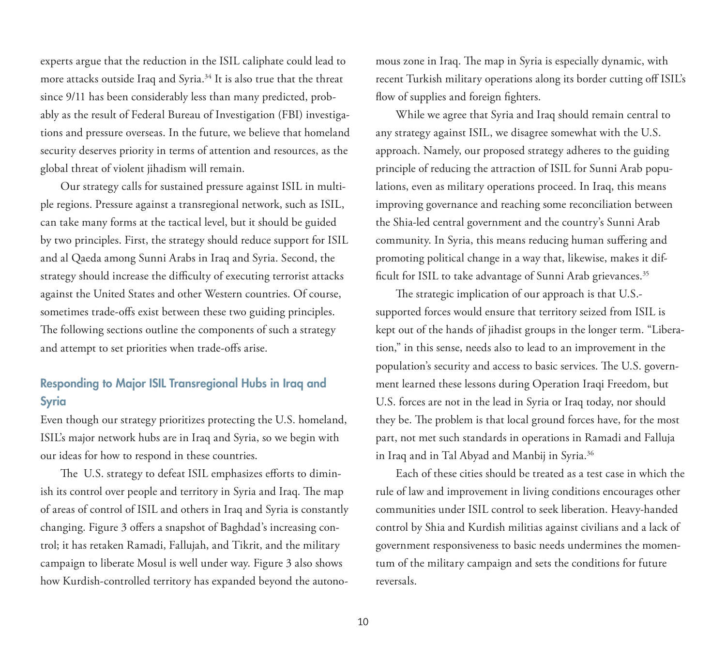experts argue that the reduction in the ISIL caliphate could lead to more attacks outside Iraq and Syria.34 It is also true that the threat since 9/11 has been considerably less than many predicted, probably as the result of Federal Bureau of Investigation (FBI) investigations and pressure overseas. In the future, we believe that homeland security deserves priority in terms of attention and resources, as the global threat of violent jihadism will remain.

Our strategy calls for sustained pressure against ISIL in multiple regions. Pressure against a transregional network, such as ISIL, can take many forms at the tactical level, but it should be guided by two principles. First, the strategy should reduce support for ISIL and al Qaeda among Sunni Arabs in Iraq and Syria. Second, the strategy should increase the difficulty of executing terrorist attacks against the United States and other Western countries. Of course, sometimes trade-offs exist between these two guiding principles. The following sections outline the components of such a strategy and attempt to set priorities when trade-offs arise.

## Responding to Major ISIL Transregional Hubs in Iraq and Syria

Even though our strategy prioritizes protecting the U.S. homeland, ISIL's major network hubs are in Iraq and Syria, so we begin with our ideas for how to respond in these countries.

The U.S. strategy to defeat ISIL emphasizes efforts to diminish its control over people and territory in Syria and Iraq. The map of areas of control of ISIL and others in Iraq and Syria is constantly changing. Figure 3 offers a snapshot of Baghdad's increasing control; it has retaken Ramadi, Fallujah, and Tikrit, and the military campaign to liberate Mosul is well under way. Figure 3 also shows how Kurdish-controlled territory has expanded beyond the autonomous zone in Iraq. The map in Syria is especially dynamic, with recent Turkish military operations along its border cutting off ISIL's flow of supplies and foreign fighters.

While we agree that Syria and Iraq should remain central to any strategy against ISIL, we disagree somewhat with the U.S. approach. Namely, our proposed strategy adheres to the guiding principle of reducing the attraction of ISIL for Sunni Arab populations, even as military operations proceed. In Iraq, this means improving governance and reaching some reconciliation between the Shia-led central government and the country's Sunni Arab community. In Syria, this means reducing human suffering and promoting political change in a way that, likewise, makes it difficult for ISIL to take advantage of Sunni Arab grievances.<sup>35</sup>

The strategic implication of our approach is that U.S. supported forces would ensure that territory seized from ISIL is kept out of the hands of jihadist groups in the longer term. "Liberation," in this sense, needs also to lead to an improvement in the population's security and access to basic services. The U.S. government learned these lessons during Operation Iraqi Freedom, but U.S. forces are not in the lead in Syria or Iraq today, nor should they be. The problem is that local ground forces have, for the most part, not met such standards in operations in Ramadi and Falluja in Iraq and in Tal Abyad and Manbij in Syria.36

Each of these cities should be treated as a test case in which the rule of law and improvement in living conditions encourages other communities under ISIL control to seek liberation. Heavy-handed control by Shia and Kurdish militias against civilians and a lack of government responsiveness to basic needs undermines the momentum of the military campaign and sets the conditions for future reversals.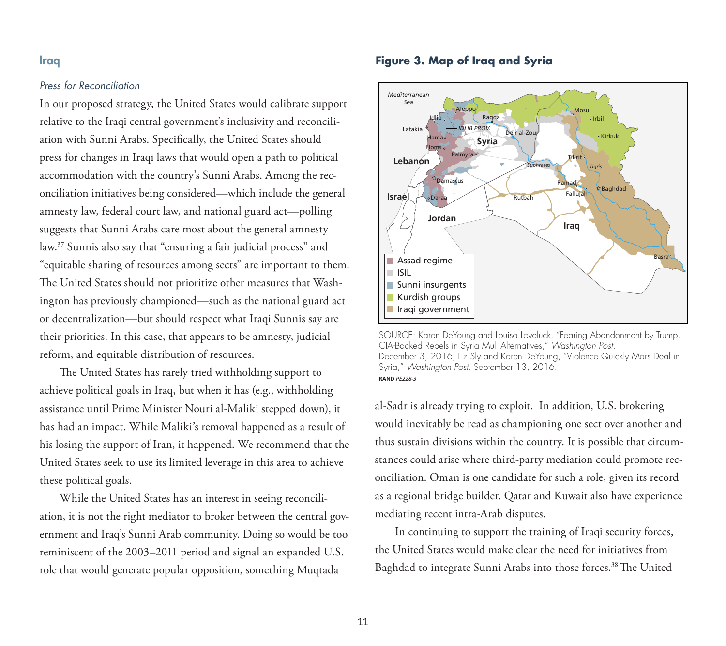#### Iraq

#### Press for Reconciliation

In our proposed strategy, the United States would calibrate support relative to the Iraqi central government's inclusivity and reconciliation with Sunni Arabs. Specifically, the United States should press for changes in Iraqi laws that would open a path to political accommodation with the country's Sunni Arabs. Among the reconciliation initiatives being considered—which include the general amnesty law, federal court law, and national guard act—polling suggests that Sunni Arabs care most about the general amnesty law.37 Sunnis also say that "ensuring a fair judicial process" and "equitable sharing of resources among sects" are important to them. The United States should not prioritize other measures that Washington has previously championed—such as the national guard act or decentralization—but should respect what Iraqi Sunnis say are their priorities. In this case, that appears to be amnesty, judicial reform, and equitable distribution of resources.

The United States has rarely tried withholding support to achieve political goals in Iraq, but when it has (e.g., withholding assistance until Prime Minister Nouri al-Maliki stepped down), it has had an impact. While Maliki's removal happened as a result of his losing the support of Iran, it happened. We recommend that the United States seek to use its limited leverage in this area to achieve these political goals.

While the United States has an interest in seeing reconciliation, it is not the right mediator to broker between the central government and Iraq's Sunni Arab community. Doing so would be too reminiscent of the 2003–2011 period and signal an expanded U.S. role that would generate popular opposition, something Muqtada

## **Figure 3. Map of Iraq and Syria**



SOURCE: Karen DeYoung and Louisa Loveluck, "Fearing Abandonment by Trump, CIA-Backed Rebels in Syria Mull Alternatives," Washington Post, December 3, 2016; Liz Sly and Karen DeYoung, "Violence Quickly Mars Deal in Syria," Washington Post, September 13, 2016. **RAND** *PE228-3*

al-Sadr is already trying to exploit. In addition, U.S. brokering would inevitably be read as championing one sect over another and thus sustain divisions within the country. It is possible that circumstances could arise where third-party mediation could promote reconciliation. Oman is one candidate for such a role, given its record as a regional bridge builder. Qatar and Kuwait also have experience mediating recent intra-Arab disputes.

In continuing to support the training of Iraqi security forces, the United States would make clear the need for initiatives from Baghdad to integrate Sunni Arabs into those forces.<sup>38</sup> The United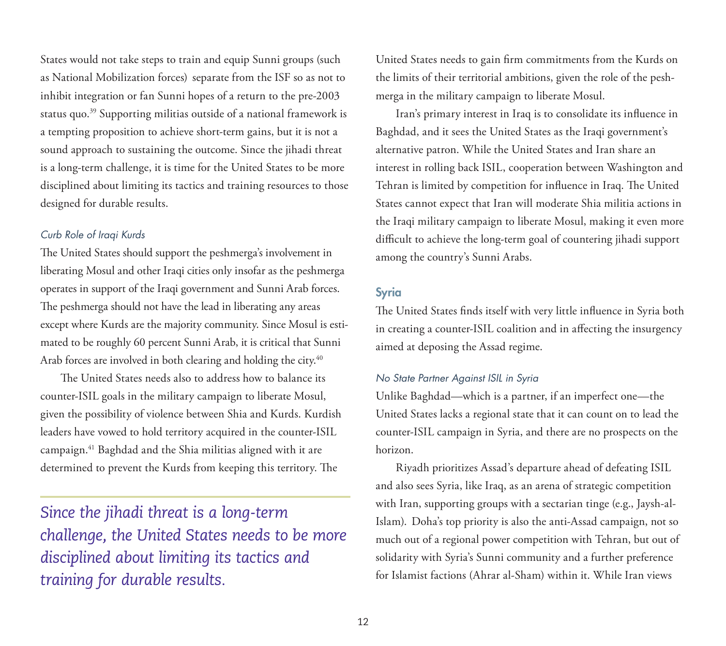States would not take steps to train and equip Sunni groups (such as National Mobilization forces) separate from the ISF so as not to inhibit integration or fan Sunni hopes of a return to the pre-2003 status quo.39 Supporting militias outside of a national framework is a tempting proposition to achieve short-term gains, but it is not a sound approach to sustaining the outcome. Since the jihadi threat is a long-term challenge, it is time for the United States to be more disciplined about limiting its tactics and training resources to those designed for durable results.

#### Curb Role of Iraqi Kurds

The United States should support the peshmerga's involvement in liberating Mosul and other Iraqi cities only insofar as the peshmerga operates in support of the Iraqi government and Sunni Arab forces. The peshmerga should not have the lead in liberating any areas except where Kurds are the majority community. Since Mosul is estimated to be roughly 60 percent Sunni Arab, it is critical that Sunni Arab forces are involved in both clearing and holding the city.<sup>40</sup>

The United States needs also to address how to balance its counter-ISIL goals in the military campaign to liberate Mosul, given the possibility of violence between Shia and Kurds. Kurdish leaders have vowed to hold territory acquired in the counter-ISIL campaign.41 Baghdad and the Shia militias aligned with it are determined to prevent the Kurds from keeping this territory. The

*Since the jihadi threat is a long-term challenge, the United States needs to be more disciplined about limiting its tactics and training for durable results.*

United States needs to gain firm commitments from the Kurds on the limits of their territorial ambitions, given the role of the peshmerga in the military campaign to liberate Mosul.

Iran's primary interest in Iraq is to consolidate its influence in Baghdad, and it sees the United States as the Iraqi government's alternative patron. While the United States and Iran share an interest in rolling back ISIL, cooperation between Washington and Tehran is limited by competition for influence in Iraq. The United States cannot expect that Iran will moderate Shia militia actions in the Iraqi military campaign to liberate Mosul, making it even more difficult to achieve the long-term goal of countering jihadi support among the country's Sunni Arabs.

#### Syria

The United States finds itself with very little influence in Syria both in creating a counter-ISIL coalition and in affecting the insurgency aimed at deposing the Assad regime.

#### No State Partner Against ISIL in Syria

Unlike Baghdad —which is a partner, if an imperfect one—the United States lacks a regional state that it can count on to lead the counter-ISIL campaign in Syria, and there are no prospects on the horizon.

Riyadh prioritizes Assad's departure ahead of defeating ISIL and also sees Syria, like Iraq, as an arena of strategic competition with Iran, supporting groups with a sectarian tinge (e.g., Jaysh-al-Islam). Doha's top priority is also the anti-Assad campaign, not so much out of a regional power competition with Tehran, but out of solidarity with Syria's Sunni community and a further preference for Islamist factions (Ahrar al-Sham) within it. While Iran views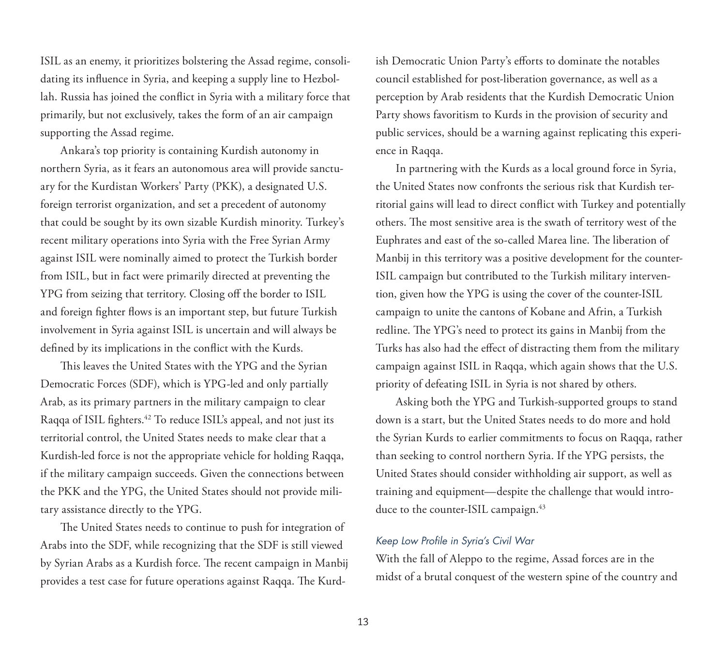ISIL as an enemy, it prioritizes bolstering the Assad regime, consolidating its influence in Syria, and keeping a supply line to Hezbollah. Russia has joined the conflict in Syria with a military force that primarily, but not exclusively, takes the form of an air campaign supporting the Assad regime.

Ankara's top priority is containing Kurdish autonomy in northern Syria, as it fears an autonomous area will provide sanctuary for the Kurdistan Workers' Party (PKK), a designated U.S. foreign terrorist organization, and set a precedent of autonomy that could be sought by its own sizable Kurdish minority. Turkey's recent military operations into Syria with the Free Syrian Army against ISIL were nominally aimed to protect the Turkish border from ISIL, but in fact were primarily directed at preventing the YPG from seizing that territory. Closing off the border to ISIL and foreign fighter flows is an important step, but future Turkish involvement in Syria against ISIL is uncertain and will always be defined by its implications in the conflict with the Kurds.

This leaves the United States with the YPG and the Syrian Democratic Forces (SDF), which is YPG-led and only partially Arab, as its primary partners in the military campaign to clear Raqqa of ISIL fighters.42 To reduce ISIL's appeal, and not just its territorial control, the United States needs to make clear that a Kurdish-led force is not the appropriate vehicle for holding Raqqa, if the military campaign succeeds. Given the connections between the PKK and the YPG, the United States should not provide military assistance directly to the YPG.

The United States needs to continue to push for integration of Arabs into the SDF, while recognizing that the SDF is still viewed by Syrian Arabs as a Kurdish force. The recent campaign in Manbij provides a test case for future operations against Raqqa. The Kurdish Democratic Union Party's efforts to dominate the notables council established for post-liberation governance, as well as a perception by Arab residents that the Kurdish Democratic Union Party shows favoritism to Kurds in the provision of security and public services, should be a warning against replicating this experience in Raqqa.

In partnering with the Kurds as a local ground force in Syria, the United States now confronts the serious risk that Kurdish territorial gains will lead to direct conflict with Turkey and potentially others. The most sensitive area is the swath of territory west of the Euphrates and east of the so-called Marea line. The liberation of Manbij in this territory was a positive development for the counter-ISIL campaign but contributed to the Turkish military intervention, given how the YPG is using the cover of the counter-ISIL campaign to unite the cantons of Kobane and Afrin, a Turkish redline. The YPG's need to protect its gains in Manbij from the Turks has also had the effect of distracting them from the military campaign against ISIL in Raqqa, which again shows that the U.S. priority of defeating ISIL in Syria is not shared by others.

Asking both the YPG and Turkish-supported groups to stand down is a start, but the United States needs to do more and hold the Syrian Kurds to earlier commitments to focus on Raqqa, rather than seeking to control northern Syria. If the YPG persists, the United States should consider withholding air support, as well as training and equipment—despite the challenge that would introduce to the counter-ISIL campaign.<sup>43</sup>

#### Keep Low Profile in Syria's Civil War

With the fall of Aleppo to the regime, Assad forces are in the midst of a brutal conquest of the western spine of the country and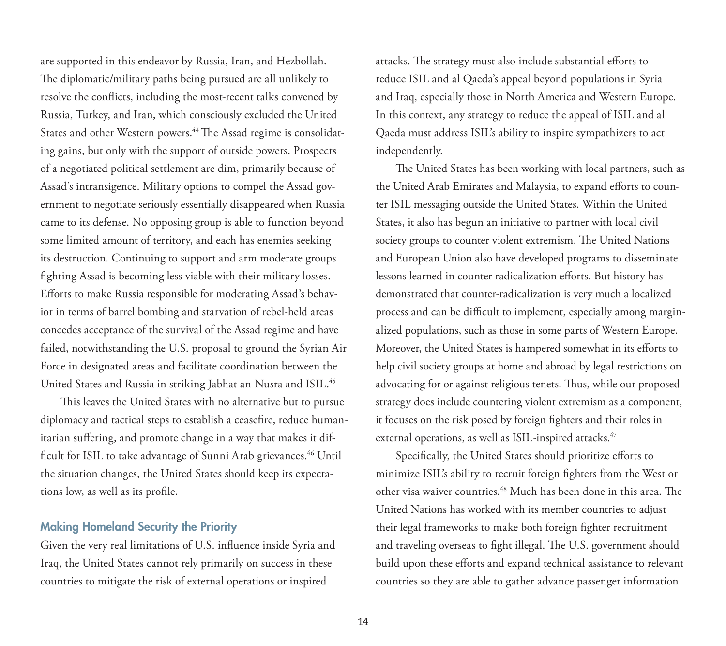are supported in this endeavor by Russia, Iran, and Hezbollah. The diplomatic/military paths being pursued are all unlikely to resolve the conflicts, including the most-recent talks convened by Russia, Turkey, and Iran, which consciously excluded the United States and other Western powers.<sup>44</sup> The Assad regime is consolidating gains, but only with the support of outside powers. Prospects of a negotiated political settlement are dim, primarily because of Assad's intransigence. Military options to compel the Assad government to negotiate seriously essentially disappeared when Russia came to its defense. No opposing group is able to function beyond some limited amount of territory, and each has enemies seeking its destruction. Continuing to support and arm moderate groups fighting Assad is becoming less viable with their military losses. Efforts to make Russia responsible for moderating Assad's behavior in terms of barrel bombing and starvation of rebel-held areas concedes acceptance of the survival of the Assad regime and have failed, notwithstanding the U.S. proposal to ground the Syrian Air Force in designated areas and facilitate coordination between the United States and Russia in striking Jabhat an-Nusra and ISIL.45

This leaves the United States with no alternative but to pursue diplomacy and tactical steps to establish a ceasefire, reduce humanitarian suffering, and promote change in a way that makes it difficult for ISIL to take advantage of Sunni Arab grievances.<sup>46</sup> Until the situation changes, the United States should keep its expectations low, as well as its profile.

## Making Homeland Security the Priority

Given the very real limitations of U.S. influence inside Syria and Iraq, the United States cannot rely primarily on success in these countries to mitigate the risk of external operations or inspired

attacks. The strategy must also include substantial efforts to reduce ISIL and al Qaeda's appeal beyond populations in Syria and Iraq, especially those in North America and Western Europe. In this context, any strategy to reduce the appeal of ISIL and al Qaeda must address ISIL's ability to inspire sympathizers to act independently.

The United States has been working with local partners, such as the United Arab Emirates and Malaysia, to expand efforts to counter ISIL messaging outside the United States. Within the United States, it also has begun an initiative to partner with local civil society groups to counter violent extremism. The United Nations and European Union also have developed programs to disseminate lessons learned in counter-radicalization efforts. But history has demonstrated that counter-radicalization is very much a localized process and can be difficult to implement, especially among marginalized populations, such as those in some parts of Western Europe. Moreover, the United States is hampered somewhat in its efforts to help civil society groups at home and abroad by legal restrictions on advocating for or against religious tenets. Thus, while our proposed strategy does include countering violent extremism as a component, it focuses on the risk posed by foreign fighters and their roles in external operations, as well as ISIL-inspired attacks.<sup>47</sup>

Specifically, the United States should prioritize efforts to minimize ISIL's ability to recruit foreign fighters from the West or other visa waiver countries.48 Much has been done in this area. The United Nations has worked with its member countries to adjust their legal frameworks to make both foreign fighter recruitment and traveling overseas to fight illegal. The U.S. government should build upon these efforts and expand technical assistance to relevant countries so they are able to gather advance passenger information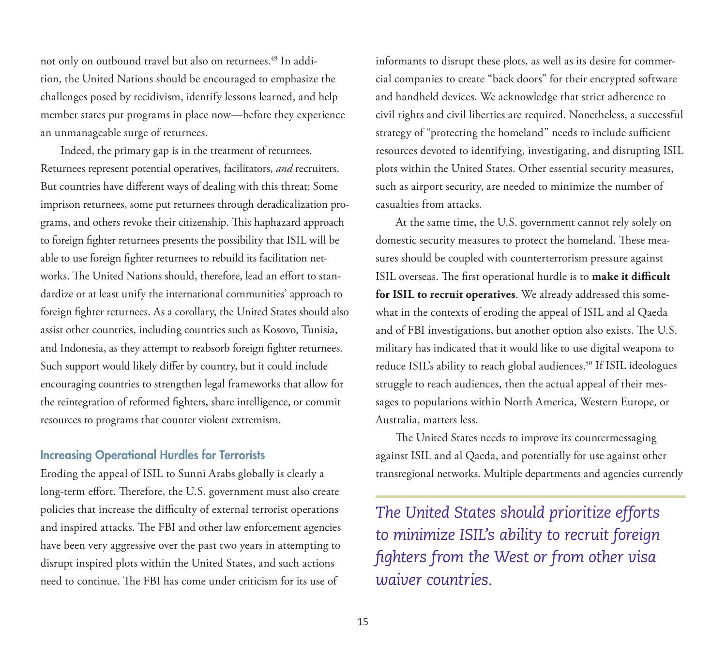not only on outbound travel but also on returnees.<sup>49</sup> In addition, the United Nations should be encouraged to emphasize the challenges posed by recidivism, identify lessons learned, and help member states put programs in place now—before they experience an unmanageable surge of returnees.

Indeed, the primary gap is in the treatment of returnees. Returnees represent potential operatives, facilitators, *and* recruiters. But countries have different ways of dealing with this threat: Some imprison returnees, some put returnees through deradicalization programs, and others revoke their citizenship. This haphazard approach to foreign fighter returnees presents the possibility that ISIL will be able to use foreign fighter returnees to rebuild its facilitation networks. The United Nations should, therefore, lead an effort to standardize or at least unify the international communities' approach to foreign fighter returnees. As a corollary, the United States should also assist other countries, including countries such as Kosovo, Tunisia, and Indonesia, as they attempt to reabsorb foreign fighter returnees. Such support would likely differ by country, but it could include encouraging countries to strengthen legal frameworks that allow for the reintegration of reformed fighters, share intelligence, or commit resources to programs that counter violent extremism.

## Increasing Operational Hurdles for Terrorists

Eroding the appeal of ISIL to Sunni Arabs globally is clearly a long-term effort. Therefore, the U.S. government must also create policies that increase the difficulty of external terrorist operations and inspired attacks. The FBI and other law enforcement agencies have been very aggressive over the past two years in attempting to disrupt inspired plots within the United States, and such actions need to continue. The FBI has come under criticism for its use of

informants to disrupt these plots, as well as its desire for commercial companies to create "back doors" for their encrypted software and handheld devices. We acknowledge that strict adherence to civil rights and civil liberties are required. Nonetheless, a successful strategy of "protecting the homeland" needs to include sufficient resources devoted to identifying, investigating, and disrupting ISIL plots within the United States. Other essential security measures, such as airport security, are needed to minimize the number of casualties from attacks.

At the same time, the U.S. government cannot rely solely on domestic security measures to protect the homeland. These measures should be coupled with counterterrorism pressure against ISIL overseas. The first operational hurdle is to **make it difficult for ISIL to recruit operatives**. We already addressed this somewhat in the contexts of eroding the appeal of ISIL and al Qaeda and of FBI investigations, but another option also exists. The U.S. military has indicated that it would like to use digital weapons to reduce ISIL's ability to reach global audiences.<sup>50</sup> If ISIL ideologues struggle to reach audiences, then the actual appeal of their messages to populations within North America, Western Europe, or Australia, matters less.

The United States needs to improve its countermessaging against ISIL and al Qaeda, and potentially for use against other transregional networks. Multiple departments and agencies currently

*The United States should prioritize efforts to minimize ISIL's ability to recruit foreign fighters from the West or from other visa waiver countries.*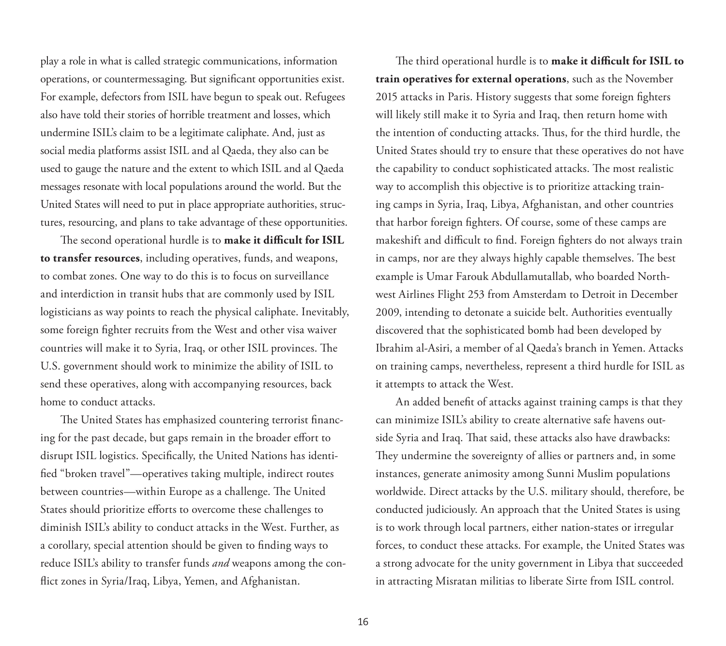play a role in what is called strategic communications, information operations, or countermessaging. But significant opportunities exist. For example, defectors from ISIL have begun to speak out. Refugees also have told their stories of horrible treatment and losses, which undermine ISIL's claim to be a legitimate caliphate. And, just as social media platforms assist ISIL and al Qaeda, they also can be used to gauge the nature and the extent to which ISIL and al Qaeda messages resonate with local populations around the world. But the United States will need to put in place appropriate authorities, structures, resourcing, and plans to take advantage of these opportunities.

The second operational hurdle is to **make it difficult for ISIL to transfer resources**, including operatives, funds, and weapons, to combat zones. One way to do this is to focus on surveillance and interdiction in transit hubs that are commonly used by ISIL logisticians as way points to reach the physical caliphate. Inevitably, some foreign fighter recruits from the West and other visa waiver countries will make it to Syria, Iraq, or other ISIL provinces. The U.S. government should work to minimize the ability of ISIL to send these operatives, along with accompanying resources, back home to conduct attacks.

The United States has emphasized countering terrorist financing for the past decade, but gaps remain in the broader effort to disrupt ISIL logistics. Specifically, the United Nations has identified "broken travel"—operatives taking multiple, indirect routes between countries—within Europe as a challenge. The United States should prioritize efforts to overcome these challenges to diminish ISIL's ability to conduct attacks in the West. Further, as a corollary, special attention should be given to finding ways to reduce ISIL's ability to transfer funds *and* weapons among the conflict zones in Syria/Iraq, Libya, Yemen, and Afghanistan.

The third operational hurdle is to **make it difficult for ISIL to train operatives for external operations**, such as the November 2015 attacks in Paris. History suggests that some foreign fighters will likely still make it to Syria and Iraq, then return home with the intention of conducting attacks. Thus, for the third hurdle, the United States should try to ensure that these operatives do not have the capability to conduct sophisticated attacks. The most realistic way to accomplish this objective is to prioritize attacking training camps in Syria, Iraq, Libya, Afghanistan, and other countries that harbor foreign fighters. Of course, some of these camps are makeshift and difficult to find. Foreign fighters do not always train in camps, nor are they always highly capable themselves. The best example is Umar Farouk Abdullamutallab, who boarded Northwest Airlines Flight 253 from Amsterdam to Detroit in December 2009, intending to detonate a suicide belt. Authorities eventually discovered that the sophisticated bomb had been developed by Ibrahim al-Asiri, a member of al Qaeda's branch in Yemen. Attacks on training camps, nevertheless, represent a third hurdle for ISIL as it attempts to attack the West.

An added benefit of attacks against training camps is that they can minimize ISIL's ability to create alternative safe havens outside Syria and Iraq. That said, these attacks also have drawbacks: They undermine the sovereignty of allies or partners and, in some instances, generate animosity among Sunni Muslim populations worldwide. Direct attacks by the U.S. military should, therefore, be conducted judiciously. An approach that the United States is using is to work through local partners, either nation-states or irregular forces, to conduct these attacks. For example, the United States was a strong advocate for the unity government in Libya that succeeded in attracting Misratan militias to liberate Sirte from ISIL control.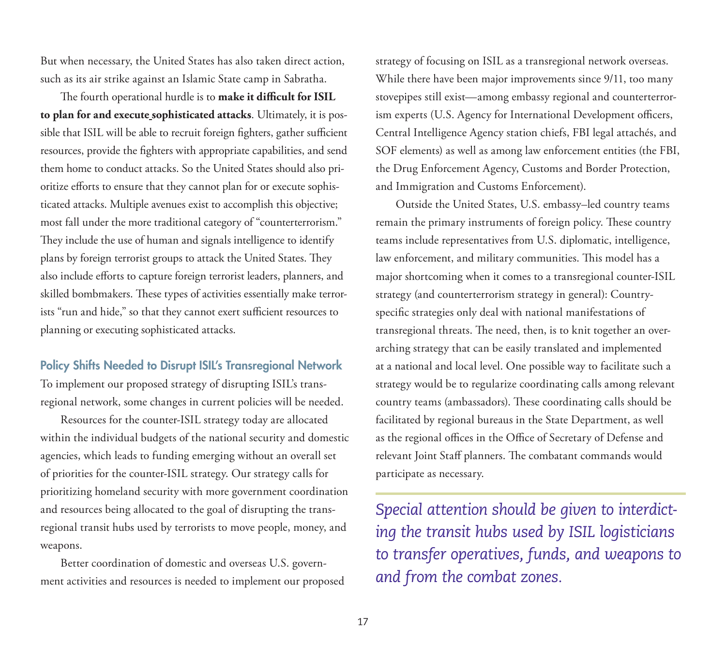But when necessary, the United States has also taken direct action, such as its air strike against an Islamic State camp in Sabratha.

The fourth operational hurdle is to **make it difficult for ISIL to plan for and execute sophisticated attacks**. Ultimately, it is possible that ISIL will be able to recruit foreign fighters, gather sufficient resources, provide the fighters with appropriate capabilities, and send them home to conduct attacks. So the United States should also prioritize efforts to ensure that they cannot plan for or execute sophisticated attacks. Multiple avenues exist to accomplish this objective; most fall under the more traditional category of "counterterrorism." They include the use of human and signals intelligence to identify plans by foreign terrorist groups to attack the United States. They also include efforts to capture foreign terrorist leaders, planners, and skilled bombmakers. These types of activities essentially make terrorists "run and hide," so that they cannot exert sufficient resources to planning or executing sophisticated attacks.

## Policy Shifts Needed to Disrupt ISIL's Transregional Network

To implement our proposed strategy of disrupting ISIL's transregional network, some changes in current policies will be needed.

Resources for the counter-ISIL strategy today are allocated within the individual budgets of the national security and domestic agencies, which leads to funding emerging without an overall set of priorities for the counter-ISIL strategy. Our strategy calls for prioritizing homeland security with more government coordination and resources being allocated to the goal of disrupting the transregional transit hubs used by terrorists to move people, money, and weapons.

Better coordination of domestic and overseas U.S. government activities and resources is needed to implement our proposed strategy of focusing on ISIL as a transregional network overseas. While there have been major improvements since 9/11, too many stovepipes still exist—among embassy regional and counterterrorism experts (U.S. Agency for International Development officers, Central Intelligence Agency station chiefs, FBI legal attachés, and SOF elements) as well as among law enforcement entities (the FBI, the Drug Enforcement Agency, Customs and Border Protection, and Immigration and Customs Enforcement).

Outside the United States, U.S. embassy–led country teams remain the primary instruments of foreign policy. These country teams include representatives from U.S. diplomatic, intelligence, law enforcement, and military communities. This model has a major shortcoming when it comes to a transregional counter-ISIL strategy (and counterterrorism strategy in general): Countryspecific strategies only deal with national manifestations of transregional threats. The need, then, is to knit together an overarching strategy that can be easily translated and implemented at a national and local level. One possible way to facilitate such a strategy would be to regularize coordinating calls among relevant country teams (ambassadors). These coordinating calls should be facilitated by regional bureaus in the State Department, as well as the regional offices in the Office of Secretary of Defense and relevant Joint Staff planners. The combatant commands would participate as necessary.

*Special attention should be given to interdicting the transit hubs used by ISIL logisticians to transfer operatives, funds, and weapons to and from the combat zones.*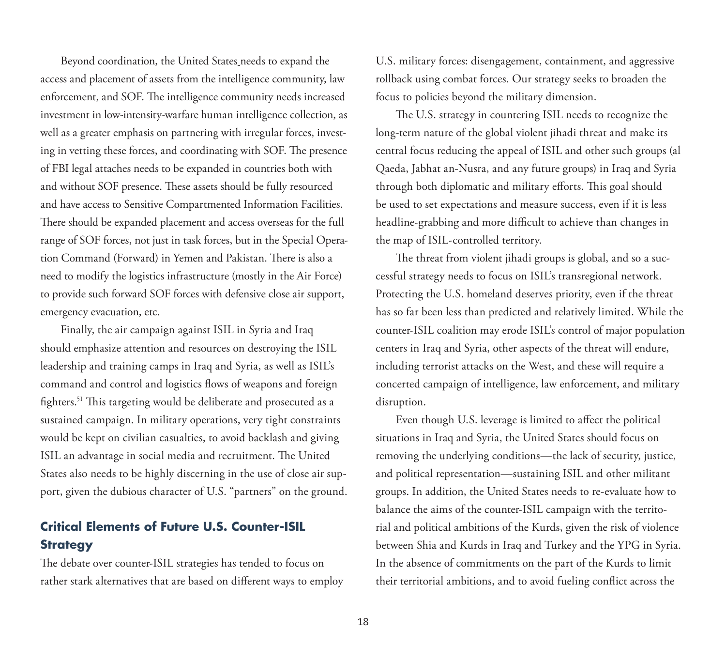Beyond coordination, the United States needs to expand the access and placement of assets from the intelligence community, law enforcement, and SOF. The intelligence community needs increased investment in low-intensity-warfare human intelligence collection, as well as a greater emphasis on partnering with irregular forces, investing in vetting these forces, and coordinating with SOF. The presence of FBI legal attaches needs to be expanded in countries both with and without SOF presence. These assets should be fully resourced and have access to Sensitive Compartmented Information Facilities. There should be expanded placement and access overseas for the full range of SOF forces, not just in task forces, but in the Special Operation Command (Forward) in Yemen and Pakistan. There is also a need to modify the logistics infrastructure (mostly in the Air Force) to provide such forward SOF forces with defensive close air support, emergency evacuation, etc.

Finally, the air campaign against ISIL in Syria and Iraq should emphasize attention and resources on destroying the ISIL leadership and training camps in Iraq and Syria, as well as ISIL's command and control and logistics flows of weapons and foreign fighters.51 This targeting would be deliberate and prosecuted as a sustained campaign. In military operations, very tight constraints would be kept on civilian casualties, to avoid backlash and giving ISIL an advantage in social media and recruitment. The United States also needs to be highly discerning in the use of close air support, given the dubious character of U.S. "partners" on the ground.

## **Critical Elements of Future U.S. Counter-ISIL Strategy**

The debate over counter-ISIL strategies has tended to focus on rather stark alternatives that are based on different ways to employ U.S. military forces: disengagement, containment, and aggressive rollback using combat forces. Our strategy seeks to broaden the focus to policies beyond the military dimension.

The U.S. strategy in countering ISIL needs to recognize the long-term nature of the global violent jihadi threat and make its central focus reducing the appeal of ISIL and other such groups (al Qaeda, Jabhat an-Nusra, and any future groups) in Iraq and Syria through both diplomatic and military efforts. This goal should be used to set expectations and measure success, even if it is less headline-grabbing and more difficult to achieve than changes in the map of ISIL-controlled territory.

The threat from violent jihadi groups is global, and so a successful strategy needs to focus on ISIL's transregional network. Protecting the U.S. homeland deserves priority, even if the threat has so far been less than predicted and relatively limited. While the counter-ISIL coalition may erode ISIL's control of major population centers in Iraq and Syria, other aspects of the threat will endure, including terrorist attacks on the West, and these will require a concerted campaign of intelligence, law enforcement, and military disruption.

Even though U.S. leverage is limited to affect the political situations in Iraq and Syria, the United States should focus on removing the underlying conditions—the lack of security, justice, and political representation—sustaining ISIL and other militant groups. In addition, the United States needs to re-evaluate how to balance the aims of the counter-ISIL campaign with the territorial and political ambitions of the Kurds, given the risk of violence between Shia and Kurds in Iraq and Turkey and the YPG in Syria. In the absence of commitments on the part of the Kurds to limit their territorial ambitions, and to avoid fueling conflict across the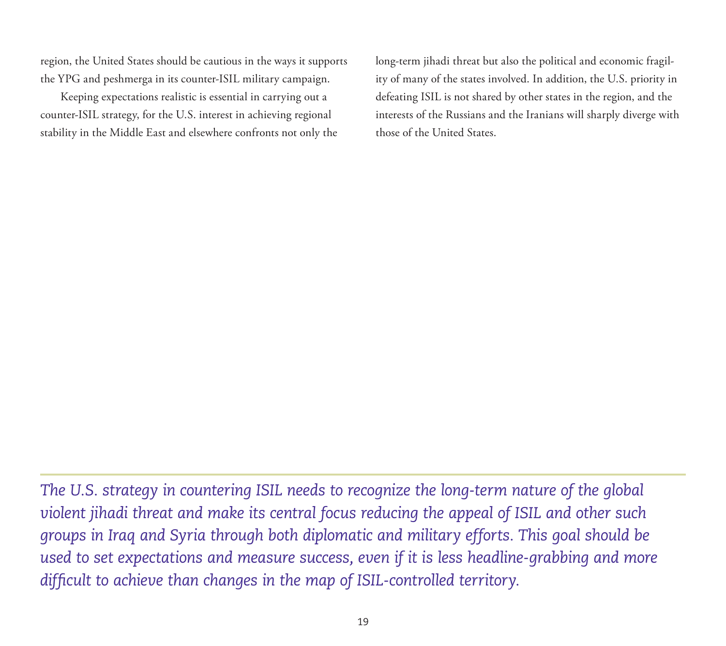region, the United States should be cautious in the ways it supports the YPG and peshmerga in its counter-ISIL military campaign.

Keeping expectations realistic is essential in carrying out a counter-ISIL strategy, for the U.S. interest in achieving regional stability in the Middle East and elsewhere confronts not only the long-term jihadi threat but also the political and economic fragility of many of the states involved. In addition, the U.S. priority in defeating ISIL is not shared by other states in the region, and the interests of the Russians and the Iranians will sharply diverge with those of the United States.

*The U.S. strategy in countering ISIL needs to recognize the long-term nature of the global violent jihadi threat and make its central focus reducing the appeal of ISIL and other such groups in Iraq and Syria through both diplomatic and military efforts. This goal should be used to set expectations and measure success, even if it is less headline-grabbing and more difficult to achieve than changes in the map of ISIL-controlled territory.*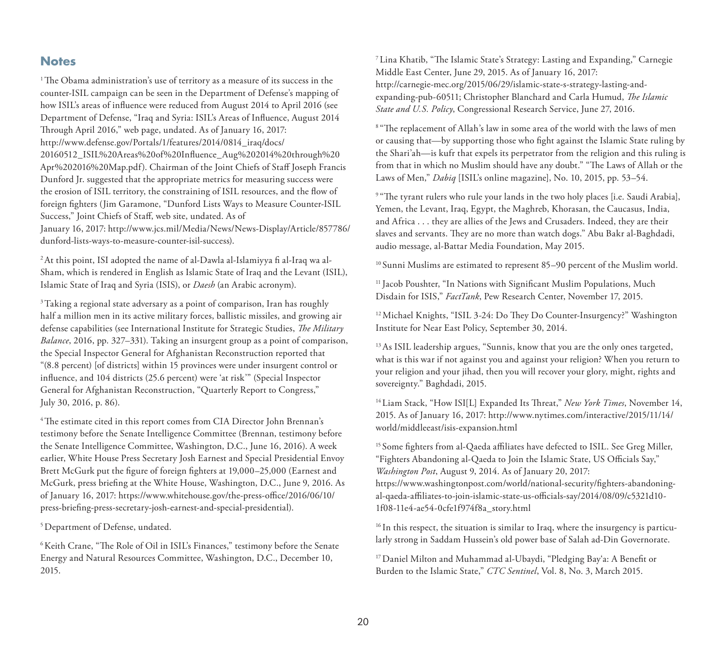#### **Notes**

<sup>1</sup>The Obama administration's use of territory as a measure of its success in the counter-ISIL campaign can be seen in the Department of Defense's mapping of how ISIL's areas of influence were reduced from August 2014 to April 2016 (see Department of Defense, "Iraq and Syria: ISIL's Areas of Influence, August 2014 Through April 2016," web page, undated. As of January 16, 2017: http://www.defense.gov/Portals/1/features/2014/0814\_iraq/docs/ 20160512\_ISIL%20Areas%20of%20Influence\_Aug%202014%20through%20 [Apr%202016%20Map.pdf\). Chairman of the Joint Chiefs of Staff Joseph Francis](http://www.defense.gov/Portals/1/features/2014/0814_iraq/docs/20160512_ISIL%20Areas%20of%20Influence_Aug%202014%20through%20Apr%202016%20Map.pdf)  Dunford Jr. suggested that the appropriate metrics for measuring success were the erosion of ISIL territory, the constraining of ISIL resources, and the flow of foreign fighters (Jim Garamone, "Dunford Lists Ways to Measure Counter-ISIL Success," Joint Chiefs of Staff, web site, undated. As of [January 16, 2017: http://www.jcs.mil/Media/News/News-Display/Article/857786/](http://www.jcs.mil/Media/News/News-Display/Article/857786/dunford-lists-ways-to-measure-counter-isil-success) dunford-lists-ways-to-measure-counter-isil-success).

<sup>2</sup> At this point, ISI adopted the name of al-Dawla al-Islamiyya fi al-Iraq wa al-Sham, which is rendered in English as Islamic State of Iraq and the Levant (ISIL), Islamic State of Iraq and Syria (ISIS), or *Daesh* (an Arabic acronym).

<sup>3</sup> Taking a regional state adversary as a point of comparison, Iran has roughly half a million men in its active military forces, ballistic missiles, and growing air defense capabilities (see International Institute for Strategic Studies, *The Military Balance*, 2016, pp. 327–331). Taking an insurgent group as a point of comparison, the Special Inspector General for Afghanistan Reconstruction reported that "(8.8 percent) [of districts] within 15 provinces were under insurgent control or influence, and 104 districts (25.6 percent) were 'at risk'" (Special Inspector General for Afghanistan Reconstruction, "Quarterly Report to Congress," July 30, 2016, p. 86).

<sup>4</sup>The estimate cited in this report comes from CIA Director John Brennan's testimony before the Senate Intelligence Committee (Brennan, testimony before the Senate Intelligence Committee, Washington, D.C., June 16, 2016). A week earlier, White House Press Secretary Josh Earnest and Special Presidential Envoy Brett McGurk put the figure of foreign fighters at 19,000–25,000 (Earnest and McGurk, press briefing at the White House, Washington, D.C., June 9, 2016. As [of January 16, 2017: https://www.whitehouse.gov/the-press-office/2016/06/10/](https://www.whitehouse.gov/the-press-office/2016/06/10/press-briefing-press-secretary-josh-earnest-and-special-presidential) press-briefing-press-secretary-josh-earnest-and-special-presidential).

5 Department of Defense, undated.

6 Keith Crane, "The Role of Oil in ISIL's Finances," testimony before the Senate Energy and Natural Resources Committee, Washington, D.C., December 10, 2015.

7 Lina Khatib, "The Islamic State's Strategy: Lasting and Expanding," Carnegie Middle East Center, June 29, 2015. As of January 16, 2017: [http://carnegie-mec.org/2015/06/29/islamic-state-s-strategy-lasting-and](http://carnegie-mec.org/2015/06/29/islamic-state-s-strategy-lasting-and-expanding-pub-60511)expanding-pub-60511; Christopher Blanchard and Carla Humud, *The Islamic State and U.S. Policy*, Congressional Research Service, June 27, 2016.

<sup>8 "</sup>The replacement of Allah's law in some area of the world with the laws of men or causing that—by supporting those who fight against the Islamic State ruling by the Shari'ah—is kufr that expels its perpetrator from the religion and this ruling is from that in which no Muslim should have any doubt." "The Laws of Allah or the Laws of Men," *Dabiq* [ISIL's online magazine], No. 10, 2015, pp. 53–54.

<sup>9 "</sup>The tyrant rulers who rule your lands in the two holy places [i.e. Saudi Arabia], Yemen, the Levant, Iraq, Egypt, the Maghreb, Khorasan, the Caucasus, India, and Africa . . . they are allies of the Jews and Crusaders. Indeed, they are their slaves and servants. They are no more than watch dogs." Abu Bakr al-Baghdadi, audio message, al-Battar Media Foundation, May 2015.

<sup>10</sup> Sunni Muslims are estimated to represent 85–90 percent of the Muslim world.

<sup>11</sup> Jacob Poushter, "In Nations with Significant Muslim Populations, Much Disdain for ISIS," *FactTank*, Pew Research Center, November 17, 2015.

12 Michael Knights, "ISIL 3-24: Do They Do Counter-Insurgency?" Washington Institute for Near East Policy, September 30, 2014.

<sup>13</sup> As ISIL leadership argues, "Sunnis, know that you are the only ones targeted, what is this war if not against you and against your religion? When you return to your religion and your jihad, then you will recover your glory, might, rights and sovereignty." Baghdadi, 2015.

<sup>14</sup> Liam Stack, "How ISI[L] Expanded Its Threat," *New York Times*, November 14, [2015. As of January 16, 2017: http://www.nytimes.com/interactive/2015/11/14/](http://www.nytimes.com/interactive/2015/11/14/world/middleeast/isis-expansion.html) world/middleeast/isis-expansion.html

<sup>15</sup> Some fighters from al-Qaeda affiliates have defected to ISIL. See Greg Miller, "Fighters Abandoning al-Qaeda to Join the Islamic State, US Officials Say," *Washington Post*, August 9, 2014. As of January 20, 2017: [https://www.washingtonpost.com/world/national-security/fighters-abandoning](https://www.washingtonpost.com/world/national-security/fighters-abandoning-al-qaeda-affiliates-to-join-islamic-state-us-officials-say/2014/08/09/c5321d10-1f08-11e4-ae54-0cfe1f974f8a_story.html)al-qaeda-affiliates-to-join-islamic-state-us-officials-say/2014/08/09/c5321d10- 1f08-11e4-ae54-0cfe1f974f8a\_story.html

 $16$  In this respect, the situation is similar to Iraq, where the insurgency is particularly strong in Saddam Hussein's old power base of Salah ad-Din Governorate.

17 Daniel Milton and Muhammad al-Ubaydi, "Pledging Bay'a: A Benefit or Burden to the Islamic State," *CTC Sentinel*, Vol. 8, No. 3, March 2015.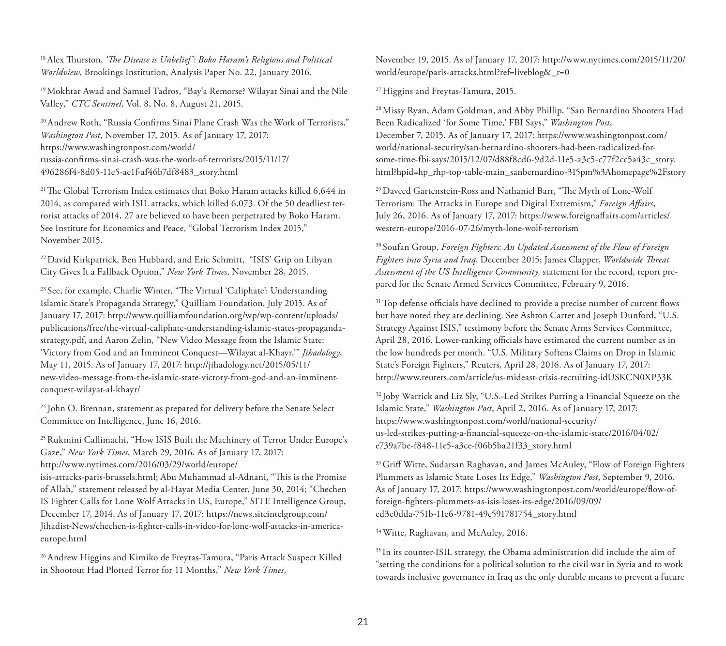18 Alex Thurston, *'The Disease is Unbelief': Boko Haram's Religious and Political Worldview*, Brookings Institution, Analysis Paper No. 22, January 2016.

19 Mokhtar Awad and Samuel Tadros, "Bay'a Remorse? Wilayat Sinai and the Nile Valley," *CTC Sentinel*, Vol. 8, No. 8, August 21, 2015.

20 Andrew Roth, "Russia Confirms Sinai Plane Crash Was the Work of Terrorists," *Washington Post*, November 17, 2015. As of January 17, 2017: https://www.washingtonpost.com/world/ [russia-confirms-sinai-crash-was-the-work-of-terrorists/2015/11/17/](https://www.washingtonpost.com/world/russia-confirms-sinai-crash-was-the-work-of-terrorists/2015/11/17/496286f4-8d05-11e5-ae1f-af46b7df8483_story.html)  496286f4-8d05-11e5-ae1f-af46b7df8483\_story.html

<sup>21</sup> The Global Terrorism Index estimates that Boko Haram attacks killed 6,644 in 2014, as compared with ISIL attacks, which killed 6,073. Of the 50 deadliest terrorist attacks of 2014, 27 are believed to have been perpetrated by Boko Haram. See Institute for Economics and Peace, "Global Terrorism Index 2015," November 2015.

<sup>22</sup> David Kirkpatrick, Ben Hubbard, and Eric Schmitt, "ISIS' Grip on Libyan City Gives It a Fallback Option," *New York Times*, November 28, 2015.

23 See, for example, Charlie Winter, "The Virtual 'Caliphate': Understanding Islamic State's Propaganda Strategy," Quilliam Foundation, July 2015. As of January 17, 2017: http://www.quilliamfoundation.org/wp/wp-content/uploads/ [publications/free/the-virtual-caliphate-understanding-islamic-states-propaganda](http://www.quilliamfoundation.org/wp/wp-content/uploads/publications/free/the-virtual-caliphate-understanding-islamic-states-propaganda-strategy.pdf)strategy.pdf, and Aaron Zelin, "New Video Message from the Islamic State: 'Victory from God and an Imminent Conquest—Wilayat al-Khayr,'" *Jihadology*, May 11, 2015. As of January 17, 2017: http://jihadology.net/2015/05/11/ [new-video-message-from-the-islamic-state-victory-from-god-and-an-immi](http://jihadology.net/2015/05/11/new-video-message-from-the-islamic-state-victory-from-god-and-an-imminent-conquest-)nentconquest-wilayat-al-khayr/

<sup>24</sup> John O. Brennan, statement as prepared for delivery before the Senate Select Committee on Intelligence, June 16, 2016.

25 Rukmini Callimachi, "How ISIS Built the Machinery of Terror Under Europe's Gaze," *New York Times*, March 29, 2016. As of January 17, 2017: http://www.nytimes.com/2016/03/29/world/europe/

[isis-attacks-paris-brussels.html; Abu Muhammad al-Adnani, "This is the Promise](http://www.nytimes.com/2016/03/29/world/europe/isis-attacks-paris-brussels.html) of Allah," statement released by al-Hayat Media Center, June 30, 2014; "Chechen IS Fighter Calls for Lone Wolf Attacks in US, Europe," SITE Intelligence Group, December 17, 2014. As of January 17, 2017: https://news.siteintelgroup.com/ [Jihadist-News/chechen-is-fighter-calls-in-video-for-lone-wolf-attacks-in-america](https://news.siteintelgroup.com/Jihadist-News/chechen-is-fighter-calls-in-video-for-lone-wolf-attacks-in-america-europe.html)europe.html

26 Andrew Higgins and Kimiko de Freytas-Tamura, "Paris Attack Suspect Killed in Shootout Had Plotted Terror for 11 Months," *New York Times*,

[November 19, 2015. As of January 17, 2017: http://www.nytimes.com/2015/11/20/](http://www.nytimes.com/2015/11/20/world/europe/paris-attacks.html?ref=liveblog&_r=0) world/europe/paris-attacks.html?ref=liveblog&\_r=0

<sup>27</sup> Higgins and Freytas-Tamura, 2015.

28 Missy Ryan, Adam Goldman, and Abby Phillip, "San Bernardino Shooters Had Been Radicalized 'for Some Time,' FBI Says," *Washington Post*, December 7, 2015. As of January 17, 2017: https://www.washingtonpost.com/ world/national-security/san-bernardino-shooters-had-been-radicalized-forsome-time-fbi-says/2015/12/07/d88f8cd6-9d2d-11e5-a3c5-c77f2cc5a43c\_story. [html?hpid=hp\\_rhp-top-table-main\\_sanbernardino-315pm%3Ahomepage%2Fstory](https://www.washingtonpost.com/world/national-security/san-bernardino-shooters-had-been-radicalized-for-some-time-fbi-says/2015/12/07/d88f8cd6-9d2d-11e5-a3c5-c77f2cc5a43c_story.html?hpid=hp_rhp-top-table-main_sanbernardino-315pm%3Ahomepage%2Fstory)

29 Daveed Gartenstein-Ross and Nathaniel Barr, "The Myth of Lone-Wolf Terrorism: The Attacks in Europe and Digital Extremism," *Foreign Affairs*, [July 26, 2016. As of January 17, 2017: https://www.foreignaffairs.com/articles/](https://www.foreignaffairs.com/articles/western-europe/2016-07-26/myth-lone-wolf-terrorism) western-europe/2016-07-26/myth-lone-wolf-terrorism

30 Soufan Group, *Foreign Fighters: An Updated Assessment of the Flow of Foreign Fighters into Syria and Iraq*, December 2015; James Clapper, *Worldwide Threat Assessment of the US Intelligence Community,* statement for the record, report prepared for the Senate Armed Services Committee, February 9, 2016.

<sup>31</sup> Top defense officials have declined to provide a precise number of current flows but have noted they are declining. See Ashton Carter and Joseph Dunford, "U.S. Strategy Against ISIS," testimony before the Senate Arms Services Committee, April 28, 2016. Lower-ranking officials have estimated the current number as in the low hundreds per month. "U.S. Military Softens Claims on Drop in Islamic State's Foreign Fighters," Reuters, April 28, 2016. As of January 17, 2017: <http://www.reuters.com/article/us-mideast-crisis-recruiting-idUSKCN0XP33K>

<sup>32</sup> Joby Warrick and Liz Sly, "U.S.-Led Strikes Putting a Financial Squeeze on the Islamic State," *Washington Post*, April 2, 2016. As of January 17, 2017: https://www.washingtonpost.com/world/national-security/ [us-led-strikes-putting-a-financial-squeeze-on-the-islamic-state/2016/04/02/](https://www.washingtonpost.com/world/national-security/us-led-strikes-putting-a-financial-squeeze-on-the-islamic-state/2016/04/02/e739a7be-f848-11e5-a3ce-f06b5ba21f33_story.html) e739a7be-f848-11e5-a3ce-f06b5ba21f33\_story.html

<sup>33</sup> Griff Witte, Sudarsan Raghavan, and James McAuley, "Flow of Foreign Fighters Plummets as Islamic State Loses Its Edge," *Washington Post*, September 9, 2016. [As of January 17, 2017: https://www.washingtonpost.com/world/europe/flow-of](https://www.washingtonpost.com/world/europe/flow-of-foreign-fighters-plummets-as-isis-loses-its-edge/2016/09/09/ed3e0dda-751b-11e6-9781-49e591781754_story.html)foreign-fighters-plummets-as-isis-loses-its-edge/2016/09/09/ ed3e0dda-751b-11e6-9781-49e591781754\_story.html

<sup>34</sup> Witte, Raghavan, and McAuley, 2016.

<sup>35</sup> In its counter-ISIL strategy, the Obama administration did include the aim of "setting the conditions for a political solution to the civil war in Syria and to work towards inclusive governance in Iraq as the only durable means to prevent a future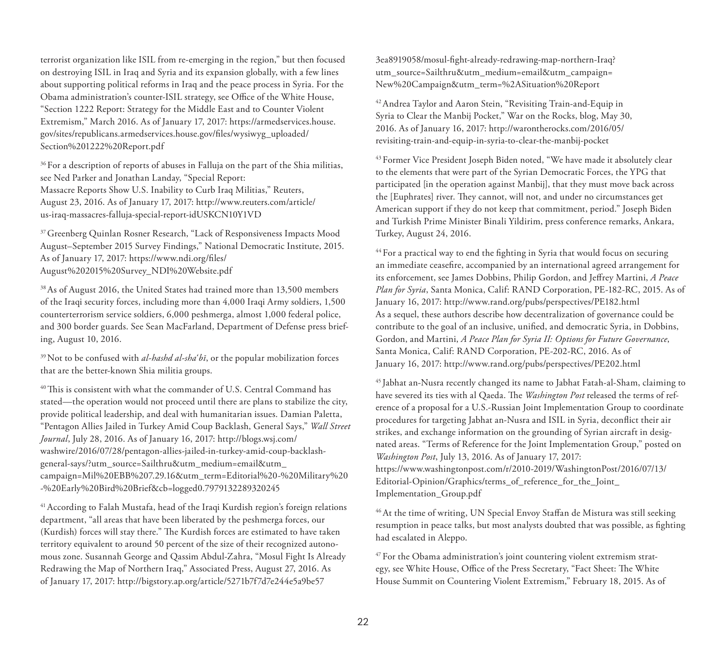terrorist organization like ISIL from re-emerging in the region," but then focused on destroying ISIL in Iraq and Syria and its expansion globally, with a few lines about supporting political reforms in Iraq and the peace process in Syria. For the Obama administration's counter-ISIL strategy, see Office of the White House, "Section 1222 Report: Strategy for the Middle East and to Counter Violent [Extremism," March 2016. As of January 17, 2017: https://armedservices.house.](https://armedservices.house.gov/sites/republicans.armedservices.house.gov/files/wysiwyg_uploaded/Section%201222%20Report.pdf) gov/sites/republicans.armedservices.house.gov/files/wysiwyg\_uploaded/ Section%201222%20Report.pdf

<sup>36</sup> For a description of reports of abuses in Falluja on the part of the Shia militias, see Ned Parker and Jonathan Landay, "Special Report: Massacre Reports Show U.S. Inability to Curb Iraq Militias," Reuters, [August 23, 2016. As of January 17, 2017: http://www.reuters.com/article/](http://www.reuters.com/article/us-iraq-massacres-falluja-special-report-idUSKCN10Y1VD) us-iraq-massacres-falluja-special-report-idUSKCN10Y1VD

<sup>37</sup> Greenberg Quinlan Rosner Research, "Lack of Responsiveness Impacts Mood August–September 2015 Survey Findings," National Democratic Institute, 2015. [As of January 17, 2017: https://www.ndi.org/files/](https://www.ndi.org/files/August%202015%20Survey_NDI%20Website.pdf)  August%202015%20Survey\_NDI%20Website.pdf

<sup>38</sup> As of August 2016, the United States had trained more than 13,500 members of the Iraqi security forces, including more than 4,000 Iraqi Army soldiers, 1,500 counterterrorism service soldiers, 6,000 peshmerga, almost 1,000 federal police, and 300 border guards. See Sean MacFarland, Department of Defense press briefing, August 10, 2016.

<sup>39</sup> Not to be confused with *al-hashd al-sha'bī*, or the popular mobilization forces that are the better-known Shia militia groups.

40 This is consistent with what the commander of U.S. Central Command has stated—the operation would not proceed until there are plans to stabilize the city, provide political leadership, and deal with humanitarian issues. Damian Paletta, "Pentagon Allies Jailed in Turkey Amid Coup Backlash, General Says," *Wall Street Journal*, July 28, 2016. As of January 16, 2017: http://blogs.wsj.com/ washwire/2016/07/28/pentagon-allies-jailed-in-turkey-amid-coup-backlashgeneral-says/?utm\_source=Sailthru&utm\_medium=email&utm\_ [campaign=Mil%20EBB%207.29.16&utm\\_term=Editorial%20-%20Military%20](http://blogs.wsj.com/washwire/2016/07/28/pentagon-allies-jailed-in-turkey-amid-coup-backlash-general-campaign=Mil%20EBB%207.29.16&utm_term=Editorial%20-%20Military%20-%20Early%20Bird%20Brief&cb=logged0.7979132289320245) -%20Early%20Bird%20Brief&cb=logged0.7979132289320245

41 According to Falah Mustafa, head of the Iraqi Kurdish region's foreign relations department, "all areas that have been liberated by the peshmerga forces, our (Kurdish) forces will stay there." The Kurdish forces are estimated to have taken territory equivalent to around 50 percent of the size of their recognized autonomous zone. Susannah George and Qassim Abdul-Zahra, "Mosul Fight Is Already Redrawing the Map of Northern Iraq," Associated Press, August 27, 2016. As of January 17, 2017: [http://bigstory.ap.org/article/5271b7f7d7e244e5a9be57](http://bigstory.ap.org/article/5271b7f7d7e244e5a9be573ea8919058/mosul-fight-already-redrawing-map-northern-Iraq?utm_source=Sailthru&utm_medium=email&utm_campaign=New%20Campaign&utm_term=%2ASituation%20Report)

[3ea8919058/mosul-fight-already-redrawing-map-northern-Iraq?](http://bigstory.ap.org/article/5271b7f7d7e244e5a9be573ea8919058/mosul-fight-already-redrawing-map-northern-Iraq?utm_source=Sailthru&utm_medium=email&utm_campaign=New%20Campaign&utm_term=%2ASituation%20Report)  utm\_source=Sailthru&utm\_medium=email&utm\_campaign= New%20Campaign&utm\_term=%2ASituation%20Report

42 Andrea Taylor and Aaron Stein, "Revisiting Train-and-Equip in Syria to Clear the Manbij Pocket," War on the Rocks, blog, May 30, [2016. As of January 16, 2017: http://warontherocks.com/2016/05/](http://warontherocks.com/2016/05/revisiting-train-and-equip-in-syria-to-clear-the-manbij-pocket) revisiting-train-and-equip-in-syria-to-clear-the-manbij-pocket

43 Former Vice President Joseph Biden noted, "We have made it absolutely clear to the elements that were part of the Syrian Democratic Forces, the YPG that participated [in the operation against Manbij], that they must move back across the [Euphrates] river. They cannot, will not, and under no circumstances get American support if they do not keep that commitment, period." Joseph Biden and Turkish Prime Minister Binali Yildirim, press conference remarks, Ankara, Turkey, August 24, 2016.

44 For a practical way to end the fighting in Syria that would focus on securing an immediate ceasefire, accompanied by an international agreed arrangement for its enforcement, see James Dobbins, Philip Gordon, and Jeffrey Martini, *A Peace Plan for Syria*, Santa Monica, Calif: RAND Corporation, PE-182-RC, 2015. As of January 16, 2017:<http://www.rand.org/pubs/perspectives/PE182.html> As a sequel, these authors describe how decentralization of governance could be contribute to the goal of an inclusive, unified, and democratic Syria, in Dobbins, Gordon, and Martini, *A Peace Plan for Syria II: Options for Future Governance*, Santa Monica, Calif: RAND Corporation, PE-202-RC, 2016. As of January 16, 2017:<http://www.rand.org/pubs/perspectives/PE202.html>

45 Jabhat an-Nusra recently changed its name to Jabhat Fatah-al-Sham, claiming to have severed its ties with al Qaeda. The *Washington Post* released the terms of reference of a proposal for a U.S.-Russian Joint Implementation Group to coordinate procedures for targeting Jabhat an-Nusra and ISIL in Syria, deconflict their air strikes, and exchange information on the grounding of Syrian aircraft in designated areas. "Terms of Reference for the Joint Implementation Group," posted on *Washington Post*, July 13, 2016. As of January 17, 2017: [https://www.washingtonpost.com/r/2010-2019/WashingtonPost/2016/07/13/](https://www.washingtonpost.com/r/2010-2019/WashingtonPost/2016/07/13/Editorial-Opinion/Graphics/terms_of_reference_for_the_Joint_Implementation_Group.pdf) Editorial-Opinion/Graphics/terms\_of\_reference\_for\_the\_Joint\_ Implementation\_Group.pdf

46 At the time of writing, UN Special Envoy Staffan de Mistura was still seeking resumption in peace talks, but most analysts doubted that was possible, as fighting had escalated in Aleppo.

47 For the Obama administration's joint countering violent extremism strategy, see White House, Office of the Press Secretary, "Fact Sheet: The White House Summit on Countering Violent Extremism," February 18, 2015. As of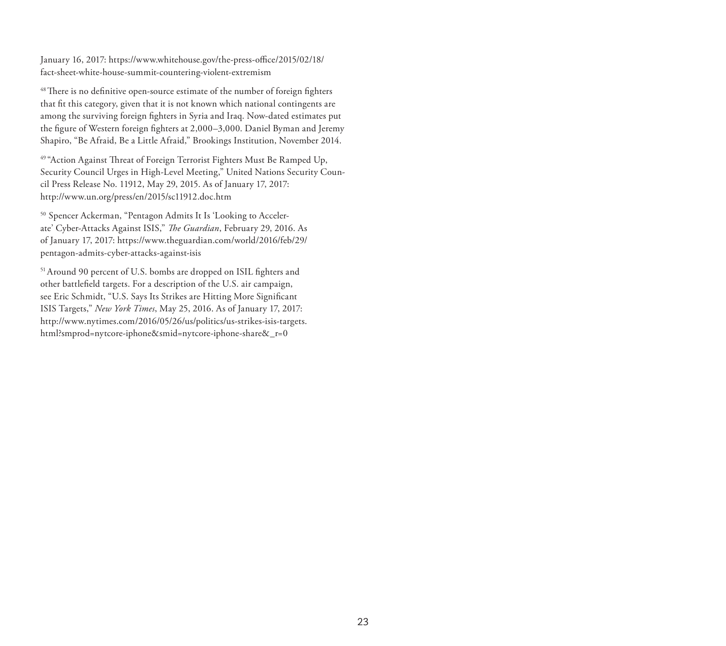[January 16, 2017: https://www.whitehouse.gov/the-press-office/2015/02/18/](https://www.whitehouse.gov/the-press-office/2015/02/18/fact-sheet-white-house-summit-countering-violent-extremism) fact-sheet-white-house-summit-countering-violent-extremism

48 There is no definitive open-source estimate of the number of foreign fighters that fit this category, given that it is not known which national contingents are among the surviving foreign fighters in Syria and Iraq. Now-dated estimates put the figure of Western foreign fighters at 2,000–3,000. Daniel Byman and Jeremy Shapiro, "Be Afraid, Be a Little Afraid," Brookings Institution, November 2014.

<sup>49</sup> "Action Against Threat of Foreign Terrorist Fighters Must Be Ramped Up, Security Council Urges in High-Level Meeting," United Nations Security Council Press Release No. 11912, May 29, 2015. As of January 17, 2017: <http://www.un.org/press/en/2015/sc11912.doc.htm>

50 Spencer Ackerman, "Pentagon Admits It Is 'Looking to Accelerate' Cyber-Attacks Against ISIS," *The Guardian*, February 29, 2016. As [of January 17, 2017: https://www.theguardian.com/world/2016/feb/29/](https://www.theguardian.com/world/2016/feb/29/pentagon-admits-cyber-attacks-against-isis) pentagon-admits-cyber-attacks-against-isis

51 Around 90 percent of U.S. bombs are dropped on ISIL fighters and other battlefield targets. For a description of the U.S. air campaign, see Eric Schmidt, "U.S. Says Its Strikes are Hitting More Significant ISIS Targets," *New York Times*, May 25, 2016. As of January 17, 2017: [http://www.nytimes.com/2016/05/26/us/politics/us-strikes-isis-targets.](http://www.nytimes.com/2016/05/26/us/politics/us-strikes-isis-targets.html?smprod=nytcore-iphone&smid=nytcore-iphone-share&_r=0) html?smprod=nytcore-iphone&smid=nytcore-iphone-share&\_r=0